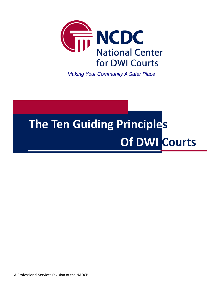

*Making Your Community A Safer Place* 

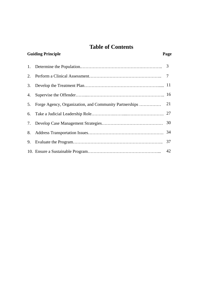# **Table of Contents**

| <b>Guiding Principle</b> |                                                        | Page |
|--------------------------|--------------------------------------------------------|------|
|                          |                                                        |      |
| 2.                       |                                                        |      |
| 3.                       |                                                        |      |
| 4.                       |                                                        |      |
| 5.                       | Forge Agency, Organization, and Community Partnerships | 21   |
| 6.                       |                                                        |      |
| 7.                       |                                                        |      |
| 8.                       |                                                        |      |
| 9.                       |                                                        | 37   |
|                          |                                                        | 42   |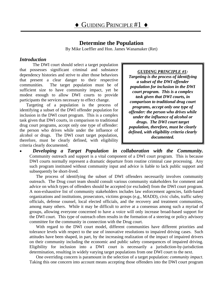# **Determine the Population**

By Mike Loeffler and Hon. James Wanamaker (Ret)

#### <span id="page-2-0"></span>*Introduction*

The DWI court should select a target population that possesses significant criminal and substance dependency histories and strive to alter those behaviors that present a clear danger to their respective communities. The target population must be of sufficient size to have community impact, yet be modest enough to allow DWI courts to provide participants the services necessary to effect change.

Targeting of a population is the process of identifying a subset of the DWI offender population for inclusion in the DWI court program. This is a complex task given that DWI courts, in comparison to traditional drug court programs, accept only one type of offender: the person who drives while under the influence of alcohol or drugs. The DWI court target population, therefore, must be clearly defined, with eligibility criteria clearly documented.

#### *GUIDING PRINCIPLE #1:*

*Targeting is the process of identifying a subset of the DWI offender population for inclusion in the DWI court program. This is a complex task given that DWI courts, in comparison to traditional drug court programs, accept only one type of offender: the person who drives while under the influence of alcohol or drugs. The DWI court target population, therefore, must be clearly defined, with eligibility criteria clearly documented.*

• *Developing a Target Population in collaboration with the Community.* Community outreach and support is a vital component of a DWI court program. This is because DWI courts normally represent a dramatic departure from routine criminal case processing. Any such program instituted without community input and advice is liable to lack public support and subsequently be short-lived.

The process of identifying the subset of DWI offenders necessarily involves community outreach. The Drug court team should consult various community stakeholders for comment and advice on which types of offenders should be accepted (or excluded) from the DWI court program. A non-exhaustive list of community stakeholders includes law enforcement agencies, faith-based organizations and institutions, prosecutors, victims groups (e.g., MADD), civic clubs, traffic safety officials, defense counsel, local elected officials, and the recovery and treatment communities, among many others. While it may be difficult to arrive at a consensus among such a myriad of groups, allowing everyone concerned to have a voice will only increase broad-based support for the DWI court. This type of outreach often results in the formation of a steering or policy advisory committee for the community in connection with the Drug court.

With regard to the DWI court model, different communities have different priorities and tolerance levels with respect to the use of innovative resolutions to impaired driving cases. Such attitudes have been shaped, in part, by the increasing realization of the impact of impaired drivers on their community including the economic and public safety consequences of impaired driving. Eligibility for inclusion into a DWI court is necessarily a jurisdiction-by-jurisdiction determination, resulting in widely varying target populations from one DWI court to the next.

One overriding concern is paramount in the selection of a target population: *community impact*. Taking this one concern into account means accepting those offenders into the DWI court program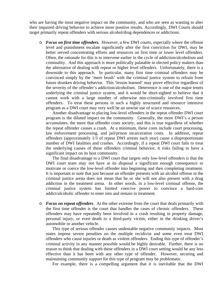who are having the most negative impact on the community, and who are seen as wanting to alter their impaired driving behavior to achieve more positive results. Accordingly, DWI Courts should target primarily repeat offenders with serious alcohol/drug dependences or addictions.

o *Focus on first time offenders***.** However, a few DWI courts, especially where the offense level and punishment escalate significantly after the first conviction for DWI, may be better served concentrating efforts and resources on first time or lower level offenders. Often, the rationale for this is to intervene earlier in the cycle of addiction/alcoholism and criminality. And this approach is more politically palatable to elected policy makers than the alternative of dealing with repeat or higher level offenders. Unfortunately, there is a downside to this approach. In particular, many first time criminal offenders may be convinced simply by the 'mere brush' with the criminal justice system to refrain from future drunken driving behavior. This 'lesson learned' may prove effective regardless of the severity of the offender's addiction/alcoholism. Deterrence is one of the major tenets underlying the criminal justice system, and it would be short-sighted to believe that it cannot work with a large number of otherwise non-criminally involved first time offenders. To treat these persons in such a highly structured and resource intensive program as a DWI court may very well be an unwise use of scarce resources.

Another disadvantage to placing low-level offenders in the repeat offender DWI court program is the diluted impact on the community. Generally, the more DWI's a person accumulates, the more that offender costs society, and this is true regardless of whether the repeat offender causes a crash. At a minimum, these costs include court processing, law enforcement processing, and jail/prison incarceration costs. In addition, repeat offenders (approximately 1/3 of repeat DWI arrests each year) cause a disproportionate number of DWI fatalities and crashes. Accordingly, if a repeat DWI court fails to treat the underlying causes of these offenders criminal behavior, it risks failing to have a significant impact on its host community.

The final disadvantage to a DWI court that targets only low-level offenders is that the DWI court team may not have at its disposal a significant enough consequence to motivate or coerce the low-level offender into beginning and then completing treatment. It is important to note that just because an offender presents with an alcohol offense in the criminal justice arena does not mean that he or she will not also present with a drug addiction in the treatment arena. In other words, in a low-level criminal offense, the criminal justice system has limited coercive power to convince a hard-core addict/alcoholic offender to enter into and remain in treatment.

o *Focus on repeat offenders*. At the other extreme from the court that deals primarily with the first time offender is the court that handles the cases of chronic offenders. These offenders may have repeatedly been involved in a crash resulting in property damage, personal injury, or even death to a third-party victim, either in the drinking driver's automobile or another vehicle.

This type of serious offender causes undeniable negative community impacts. Most states impose severe penalties on the multiple recidivist and some even treat DWI offenders who cause injuries or death as violent offenders. Ending this type of offender's criminal activity in any manner possible would be highly desirable. Further, there is no reason to think that dealing with these offenders in a DWI court setting would be any less effective than it has been with any other type of offender. However, securing and maintaining community support for this type of program may be problematic.

For example, there is a compelling argument that it is inevitable that the DWI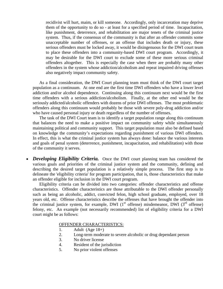recidivist will hurt, maim, or kill someone. Accordingly, only incarceration may deprive them of the opportunity to do so - at least for a specified period of time. Incapacitation, like punishment, deterrence, and rehabilitation are major tenets of the criminal justice system. Thus, if the consensus of the community is that after an offender commits some unacceptable number of offenses, or an offense that includes death or injury, these serious offenders must be locked away, it would be disingenuous for the DWI court team to place these offenders into a community-based DWI court program. Accordingly, it may be desirable for the DWI court to exclude some of these more serious criminal offenders altogether. This is especially the case when there are probably many other offenders in the system whose addiction/alcoholism and repeat impaired driving offenses also negatively impact community safety.

As a final consideration, the DWI Court planning team must think of the DWI court target population as a continuum. At one end are the first time DWI offenders who have a lower level addiction and/or alcohol dependence. Continuing along this continuum next would be the first time offenders with a serious addiction/alcoholism. Finally, at the other end would be the seriously addicted/alcoholic offenders with dozens of prior DWI offenses. The most problematic offenders along this continuum would probably be those with severe poly-drug addiction and/or who have caused personal injury or death regardless of the number of offenses.

The task of the DWI Court team is to identify a target population range along this continuum that balances the need to make a positive impact on community safety while simultaneously maintaining political and community support. This target population must also be defined based on knowledge the community's expectations regarding punishment of various DWI offenders. In effect, this is what the criminal justice system has always done: balance the various interests and goals of penal system (deterrence, punishment, incapacitation, and rehabilitation) with those of the community it serves.

*Developing Eligibility Criteria.* Once the DWI court planning team has considered the various goals and priorities of the criminal justice system and the community, defining and describing the desired target population is a relatively simple process. The first step is to delineate the 'eligibility criteria' for program participation, that is, those characteristics that make an offender eligible for inclusion in the DWI court program.

Eligibility criteria can be divided into two categories: offender characteristics and offense characteristics. Offender characteristics are those attributable to the DWI offender personally such as being an alcoholic, addict, convicted felon, high school graduate, employed, over 18 years old, etc. Offense characteristics describe the offenses that have brought the offender into the criminal justice system, for example, DWI  $(1<sup>st</sup>$  offense) misdemeanor, DWI  $(3<sup>rd</sup>$  offense) felony, etc. An example (not necessarily recommended) list of eligibility criteria for a DWI court might be as follows:

#### OFFENDER CHARACTERISTICS:

- 1. Adult  $(Age 18+)$
- 2. Long-term moderate to severe alcoholic or drug dependant person
- 3. No driver license
- 4. Resident of the jurisdiction
- 5. No prior violent offenses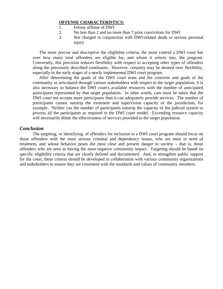#### **OFFENSE CHARACTERISTICS:**

- 1. Felony offense of DWI
- 2. No less than 2 and no more than 7 prior convictions for DWI
- 3. Not charged in conjunction with DWI-related death or serious personal injury

 The more precise and descriptive the eligibility criteria, the more control a DWI court has over how many total offenders are eligible for, and whom it selects into, the program. Conversely, this precision reduces flexibility with respect to accepting other types of offenders along the previously described continuum. However, certainty may be desired over flexibility, especially in the early stages of a newly implemented DWI court program.

 After determining the goals of the DWI court team and the concerns and goals of the community as articulated through various stakeholders with respect to the target population, it is also necessary to balance the DWI court's available resources with the number of anticipated participants represented by that target population. In other words, care must be taken that the DWI court not accepts more participants than it can adequately provide services. The number of participants cannot outstrip the treatment and supervision capacity of the jurisdiction, for example. Neither can the number of participants outstrip the capacity of the judicial system to process all the participants as required in the DWI court model. Exceeding resource capacity will necessarily dilute the effectiveness of services provided to the target population.

## *Conclusion*

The targeting, or identifying, of offenders for inclusion in a DWI court program should focus on those offenders with the most serious criminal and dependency issues, who are most in need of treatment, and whose behavior poses the most clear and present danger to society – that is, those offenders who are seen as having the most negative community impact. Targeting should be based on specific eligibility criteria that are clearly defined and documented. And, to strengthen public support for the court, these criteria should be developed in collaboration with various community organizations and stakeholders to ensure they are consistent with the standards and values of community members.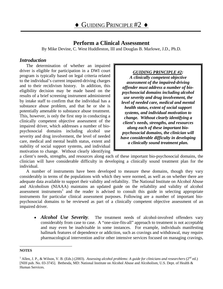# **Perform a Clinical Assessment**

By Mike Devine, C. West Huddleston, III and Douglas B. Marlowe, J.D., Ph.D.

### <span id="page-6-0"></span>*Introduction*

The determination of whether an impaired driver is eligible for participation in a DWI court program is typically based on legal criteria related to the individual's current impaired-driving charges and to their recidivism history. In addition, this eligibility decision may be made based on the results of a brief screening instrument administered by intake staff to confirm that the individual has a substance abuse problem, and that he or she is potentially amenable to substance abuse treatment. This, however, is only the first step in conducting a clinically competent objective assessment of the impaired driver, which addresses a number of biopsychosocial domains including alcohol use severity and drug involvement, the level of needed care, medical and mental health status, extent and stability of social support systems, and individual motivation to change. Without clearly identifying

## *GUIDING PRINCIPLE #2:*

*A clinically competent objective assessment of the impaired-driving offender must address a number of biopsychosocial domains including alcohol use severity and drug involvement, the level of needed care, medical and mental health status, extent of social support systems, and individual motivation to change. Without clearly identifying a client's needs, strengths, and resources along each of these important biopsychosocial domains, the clinician will have considerable difficulty in developing a clinically sound treatment plan.*

a client's needs, strengths, and resources along each of these important bio-psychosocial domains, the clinician will have considerable difficulty in developing a clinically sound treatment plan for the individual.

A number of instruments have been developed to measure these domains, though they vary considerably in terms of the populations with which they were normed, as well as on whether there are adequate data available to support their validity and reliability. The National Institute on Alcohol Abuse and Alcoholism (NIAAA) maintains an updated guide on the reliability and validity of alcohol assessment instruments<sup>1</sup> and the reader is advised to consult this guide in selecting appropriate instruments for particular clinical assessment purposes. Following are a number of important biopsychosocial domains to be reviewed as part of a clinically competent objective assessment of an impaired driver.

• *Alcohol Use Severity*. The treatment needs of alcohol-involved offenders vary considerably from case to case. A "one-size-fits-all" approach to treatment is not acceptable and may even be inadvisable in some instances. For example, individuals manifesting hallmark features of dependence or addiction, such as cravings and withdrawal, may require pharmacological intervention and/or other intensive services focused on managing cravings,

<span id="page-6-1"></span>**NOTES**

 $^1$  Allen, J. P., & Wilson, V. B. (Eds.) (2003). Assessing alcohol problems: A guide for clinicians and researchers (2<sup>nd</sup> ed.) [NIH pub. No. 03-3745]. Bethesda, MD: National Institute on Alcohol Abuse and Alcoholism, U.S. Dept. of Health & Human Services.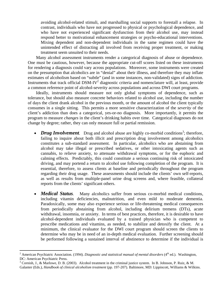avoiding alcohol-related stimuli, and marshalling social supports to forestall a relapse. In contrast, individuals who have not progressed to physical or psychological dependence, and who have not experienced significant dysfunction from their alcohol use, may instead respond better to motivational enhancement strategies or psycho-educational interventions. Mixing dependent and non-dependent individuals in the same regimen could have the unintended effect of distracting all involved from receiving proper treatment, or making treatment seem unsuited to their needs.

Many alcohol assessment instruments render a categorical diagnosis of abuse or dependence. One must be cautious, however, because the appropriate cut-off scores listed on these instruments for rendering a diagnosis could vary across populations. Moreover, some instruments were created on the presumption that alcoholics are in "denial" about their illness, and therefore they may inflate estimates of alcoholism based on "subtle" (and in some instances, non-validated) signs of addiction. Instruments that track official  $DSM-IV^2$  diagnostic criteria and nomenclature will, at least, provide a common reference point of alcohol-severity across populations and across DWI court programs.

Ideally, instruments should measure not only global symptoms of dependence, such as tolerance, but should also measure concrete behaviors related to alcohol use, including the number of days the client drank alcohol in the previous month, or the amount of alcohol the client typically consumes in a single sitting. This permits a more sensitive characterization of the *severity* of the client's addiction than does a categorical, yes-or-no diagnosis. More importantly, it permits the program to measure *changes* in the client's drinking habits over time. Categorical diagnoses do not change by degree; rather, they can only measure full or partial remission.

- *Drug Involvement*. Drug and alcohol abuse are highly co-morbid conditions<sup>3</sup>; therefore, failing to inquire about both illicit and prescription drug involvement among alcoholics constitutes a sub-standard assessment. In particular, alcoholics who are abstaining from alcohol may take illegal or prescribed sedatives, or other intoxicating agents such as cannabis, to relieve anxiety, to attenuate withdrawal symptoms, or for the euphoric and calming effects. Predictably, this could constitute a serious continuing risk of intoxicated driving, and may portend a return to alcohol use following completion of the program. It is essential, therefore, to assess clients at baseline and periodically throughout the program regarding their drug usage. These assessments should include the clients' own self-reports, as well as results from multiple-panel urine drug screens and, where feasible, collateral reports from the clients' significant others.
- *Medical Status*. Many alcoholics suffer from serious co-morbid medical conditions, including vitamin deficiencies, malnutrition, and even mild to moderate dementia. Paradoxically, some may also experience serious or life-threatening medical consequences from periodically abstaining from alcohol, including delirium tremens (DTs), acute withdrawal, insomnia, or anxiety. In terms of best practices, therefore, it is desirable to have alcohol-dependent individuals evaluated by a trained physician who is competent to prescribe medications and vitamins, as needed, to stabilize and detoxify the client.At a minimum, the clinical evaluator for the DWI court program should screen the clients to determine who may be in need of an in-depth medical evaluation. Further screening should be performed following a sustained interval of abstinence to determine if the individual is

<span id="page-7-0"></span><sup>&</sup>lt;sup>2</sup> American Psychiatric Association. (1994). *Diagnostic and statistical manual of mental disorders* (4<sup>th</sup> ed.). Washington, DC: American Psychiatric Press.

<span id="page-7-1"></span> $3$  Cornish, J., & Marlowe, D. B. (2003). Alcohol treatment in the criminal justice system. In B. Johnson, P. Ruiz, & M. Galanter (Eds.), *Handbook of clinical alcoholism treatment* (pp. 197-207)*.* Baltimore, MD: Lippincott, Williams & Wilkins.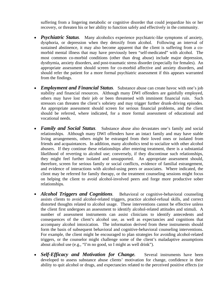suffering from a lingering metabolic or cognitive disorder that could jeopardize his or her recovery, or threaten his or her ability to function safely and effectively in the community.

- *Psychiatric Status*. Many alcoholics experience psychiatric-like symptoms of anxiety, dysphoria, or depression when they detoxify from alcohol. Following an interval of sustained abstinence, it may also become apparent that the client is suffering from a comorbid mental illness that may have previously been "self-medicated" with alcohol. The most common co-morbid conditions (other than drug abuse) include major depression, dysthymia, anxiety disorders, and post-traumatic stress disorder (especially for females). An appropriate assessment should screen for co-morbid affective and anxiety disorders, and should refer the patient for a more formal psychiatric assessment if this appears warranted from the findings.
- *Employment and Financial Status.* Substance abuse can create havoc with one's job stability and financial resources. Although many DWI offenders are gainfully employed, others may have lost their job or been threatened with imminent financial ruin. Such stressors can threaten the client's sobriety and may trigger further drunk-driving episodes. An appropriate assessment should screen for serious financial problems, and the client should be referred, where indicated, for a more formal assessment of educational and vocational needs.
- *Family and Social Status.* Substance abuse also devastates one's family and social relationships. Although many DWI offenders have an intact family and may have stable living arrangements, others might be estranged from their loved ones or isolated from friends and acquaintances. In addition, many alcoholics tend to socialize with other alcohol abusers. If they continue these relationships after entering treatment, there is a substantial likelihood of reverting to alcohol use; conversely, if they discontinue such relationships, they might feel further isolated and unsupported. An appropriate assessment should, therefore, screen for serious family or social conflicts, evidence of familial estrangement, and evidence of interactions with alcohol-using peers or associates. Where indicated, the client may be referred for family therapy, or the treatment counseling sessions might focus on helping the client to avoid alcohol-involved peers and forge more productive sober relationships.
- *Alcohol Triggers and Cognitions*. Behavioral or cognitive-behavioral counseling assists clients to avoid alcohol-related triggers, practice alcohol-refusal skills, and correct distorted thoughts related to alcohol usage. These interventions cannot be effective unless the client first undergoes an assessment to identify alcohol-related attitudes and stimuli. A number of assessment instruments can assist clinicians to identify antecedents and consequences of the client's alcohol use, as well as expectancies and cognitions that accompany alcohol intoxication. The information derived from these instruments should form the basis of subsequent behavioral and cognitive-behavioral counseling interventions. For example, the client might be encouraged to plan strategies for avoiding alcohol-related triggers, or the counselor might challenge some of the client's maladaptive assumptions about alcohol use (e.g., "I'm no good, so I might as well drink").
- *Self-Efficacy and Motivation for Change*. Several instruments have been developed to assess substance abuse clients' motivation for change, confidence in their ability to quit alcohol or drugs, and expectancies related to the perceived positive effects (or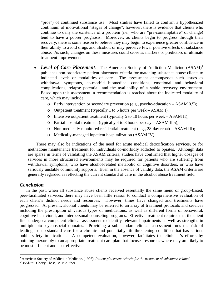"pros") of continued substance use. Most studies have failed to confirm a hypothesized continuum of motivational "stages of change"; however, there is evidence that clients who continue to deny the existence of a problem (i.e., who are "pre-contemplative" of change) tend to have a poorer prognosis. Moreover, as clients begin to progress through their recovery, there is some reason to believe they may begin to experience greater confidence in their ability to avoid drugs and alcohol, or may perceive fewer positive effects of substance abuse. As such, changes on these measures could serve as markers or predictors of ultimate treatment improvements.

- *Level of Care Placement*. The American Society of Addiction Medicine (ASAM)<sup>[4](#page-9-0)</sup> publishes non-proprietary patient placement criteria for matching substance abuse clients to indicated levels or modalities of care. The assessment encompasses such issues as withdrawal symptoms, co-morbid biomedical conditions, emotional and behavioral complications, relapse potential, and the availability of a stable recovery environment. Based upon this assessment, a recommendation is reached about the indicated modality of care, which may include:
	- o Early intervention or secondary prevention (e.g., psycho-education ASAM 0.5);
	- o Outpatient treatment (typically 1 to 5 hours per week ASAM I);
	- o Intensive outpatient treatment (typically 5 to 10 hours per week ASAM II);
	- o Partial hospital treatment (typically 4 to 8 hours per day ASAM II.5);
	- o Non-medically monitored residential treatment (e.g., 28-day rehab ASAM III);
	- o Medically-managed inpatient hospitalization (ASAM IV)

There may also be indications of the need for acute medical detoxification services, or for methadone maintenance treatment for individuals co-morbidly addicted to opiates. Although data are sparse in terms of validating the ASAM criteria, studies have confirmed that higher dosages of services in more structured environments may be required for patients who are suffering from withdrawal symptoms, who have alcohol-related metabolic or cognitive disorders, or who have seriously unstable community supports. Even in the absence of validity data, the ASAM criteria are generally regarded as reflecting the current standard of care in the alcohol abuse treatment field.

### *Conclusion*

 $\overline{a}$ 

In the past, when all substance abuse clients received essentially the same menu of group-based, peer-facilitated services, there may have been little reason to conduct a comprehensive evaluation of each client's distinct needs and resources. However, times have changed and treatments have progressed. At present, alcohol clients may be referred to an array of treatment protocols and services including the prescription of various types of medications, as well as different forms of behavioral, cognitive-behavioral, and interpersonal counseling programs. Effective treatment requires that the client first undergo a competent clinical assessment to identify relevant impairments as well as strengths in multiple bio-psychosocial domains. Providing a sub-standard clinical assessment runs the risk of leading to sub-standard care for a chronic and potentially life-threatening condition that has serious public-safety implications. A competent evaluation, however, facilitates the clinician's efforts by pointing inexorably to an appropriate treatment care plan that focuses resources where they are likely to be most efficient and cost-effective.

<span id="page-9-0"></span><sup>4</sup> American Society of Addiction Medicine. (1996). *Patient placement criteria for the treatment of substance-related disorders*. Chevy Chase, MD: Author.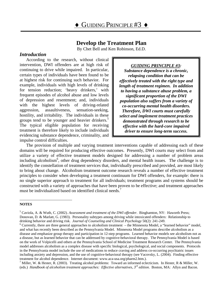# **Develop the Treatment Plan**

By Chet Bell and Ken Robinson, Ed.D.

## <span id="page-10-0"></span>*Introduction*

According to the research, without clinical intervention, DWI offenders are at high risk of continuing to drive while impaired. In particular, certain types of individuals have been found to be at highest risk for continuing such behavior. For example, individuals with high levels of drinking for tension reduction; 'heavy drinkers,' with frequent episodes of alcohol abuse and low levels of depression and resentment; and, individuals with the highest levels of driving-related aggression, assaultiveness, sensation-seeking, hostility, and irritability. The individuals in these groups tend to be younger and heavier drinke[rs.](#page-10-1)<sup>5</sup> The typical eligible population for receiving treatment is therefore likely to include individuals evidencing substance dependence, criminality, and impulse control difficulties.

#### *GUIDING PRINCIPLE #3:*

*Substance dependence is a chronic, relapsing condition that can be effectively treated with the right type and length of treatment regimen. In addition to having a substance abuse problem, a significant proportion of the DWI population also suffers from a variety of co-occurring mental health disorders. Therefore, DWI courts must carefully select and implement treatment practices demonstrated through research to be effective with the hard-core impaired driver to ensure long-term success.* 

The provision of multiple and varying treatment interventions capable of addressing each of these domains will be required for producing effective outcomes. Presently, DWI courts may select from and utilize a variety of effective treatment models designed for addressing a number of problem areas including alcoholism<sup>[6](#page-10-2)</sup>, other drug dependency disorders, and mental health issues. The challenge is to identify the constellation of treatment services that, individually prescribed and provided, are most likely to bring about change. Alcoholism treatment outcome research reveals a number of effective treatment principles to consider when developing a treatment continuum for DWI offenders, for example: there is no single superior approach to treatment for all individuals; treatment programs and systems should be constructed with a variety of approaches that have been proven to be effective; and treatment approaches must be individualized based on identified clinical needs.<sup>7</sup>

#### <span id="page-10-1"></span> $\overline{a}$ **NOTES**

<sup>5</sup> Caviola, A. & Wuth, C. (2002). *Assessment and treatment of the DWI offender*. Binghamton, NY: Haworth Press; Donovan, D. & Marlatt, G. (1983). Personality subtypes among driving while intoxicated offenders: Relationship to drinking behavior and driving risk. *Journal of Counseling and Clinical Psychology* 50(2): 241-249. 6

<span id="page-10-2"></span> $6$  Currently, there are three general approaches to alcoholism treatment – the Minnesota Model, a "learned behavior" model, and what has recently been described as the Pennsylvania Model. Minnesota Model programs describe alcoholism as a disease and emphasize group therapy and participation in 12-step programs. Learned behavior models see alcoholism not as a disease, but as learned behavior that can be addressed by cognitive-behavioral therapy. The Pennsylvania Model is based on the work of Volpicelli and others at the Pennsylvania School of Medicine Treatment Research Center. The Pennsylvania model addresses alcoholism as a complex disease with specific biological, psychological, and social components. Protocols in the Pennsylvania model include the use of medications to reduce craving and address co-occurring psychiatric issues including anxiety and depression, and the use of cognitive-behavioral therapy (see Vacovsky, L. (2004). Finding effective treatment for alcohol dependence. Internet document: www.aca-usa.org/pharm2.htm.). 7

<span id="page-10-3"></span><sup>&</sup>lt;sup>7</sup> Miller, W. & Hester, R. (2003). Treating alcohol problems: Toward an informed eclecticism. In Hester, R & Miller, W. (eds.) *Handbook of alcoholism treatment approaches: Effective alternatives, 3rd edition*. Boston, MA: Allyn and Bacon.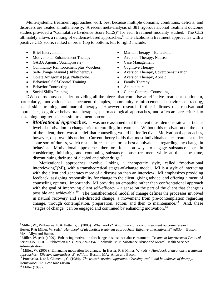Multi-systemic treatment approaches work best because multiple domains, conditions, deficits, and disorders are treated simultaneously. A recent meta-analysis of 381 rigorous alcohol treatment outcome studies provided a "Cumulative Evidence Score (CES)" for each treatment modality studied. The CES ultimately allows a ranking of evidence-based approaches.<sup>8</sup> The alcoholism treatment approaches with a positive CES score, ranked in order (top to bottom, left to right) include:

- 
- Motivational Enhancement Therapy Aversion Therapy, Nausea
- GABA Agonist (Acamprosate) Case Management
- Community Reinforcement plus Vouchers Cognitive Therapy
- 
- Opiate Antagonist (e.g. Naltrexone) Aversion Therapy, Apneic
- **Behavioral Self-Control Training Family Therapy**
- Behavior Contracting Acupuncture
- 
- Brief Intervention Marital Therapy Behavioral
	-
	-
	-
	- Self-Change Manual (Bibliotherapy) Aversion Therapy, Covert Sensitization
		-
		-
		-
- Social Skills Training Client-Centered Counseling

DWI courts must consider providing all the pieces that comprise an effective treatment continuum, particularly, motivational enhancement therapies, community reinforcement, behavior contracting, social skills training, and marital therapy. However, research further indicates that motivational approaches, cognitive-behavioral therapies, pharmacological approaches, and aftercare are critical to sustaining long-term successful treatment outcomes.

*Motivational Approaches.* It was once assumed that the client must demonstrate a particular level of motivation to change prior to enrolling in treatment. Without this motivation on the part of the client, there was a belief that counseling would be ineffective. Motivational approaches, however, disprove this notion. Current theory holds that most individuals enter treatment under some sort of duress, which results in resistance, or, at best ambivalence, regarding any change in behavior. Motivational approaches therefore focus on ways to engage substance users in considering, initiating, and continuing substance abuse treatment while at the same time, discontinuing their use of alcohol and other drugs.<sup>[9](#page-11-1)</sup>

Motivational approaches involve linking a therapeutic style, called "motivational interviewing"(MI), with a transtheoretical stages-of-change model. MI is a style of interacting with the client and generates more of a discussion than an interview. MI emphasizes providing feedback, assigning responsibility for change to the client, giving advice, and offering a menu of counseling options. Importantly, MI provides an empathic rather than confrontational approach with the goal of improving client self-efficacy  $-$  a sense on the part of the client that change is possible and achievable.<sup>10</sup> The transtheoretical model of change defines the processes involved in natural recovery and self-directed change, a movement from pre-contemplation regarding change, through contemplation, preparation, action, and then to maintenance.<sup>11</sup> And, these "stages of change" can be engaged and continued by enhancing motivation.<sup>12</sup>

1

<span id="page-11-0"></span><sup>&</sup>lt;sup>8</sup> Miller, W., Wilbourne, P. & Hettema, J. (2003). What works? A summary of alcohol treatment outcome research. In Hester, R & Miller, W. (eds.) *Handbook of alcoholism treatment approaches: Effective alternatives*, 3<sup>rd</sup> edition. Boston, MA: Allyn and Bacon.

<span id="page-11-1"></span><sup>9</sup> Miller, W. (ed). (1999). Enhancing motivation for change in substance abuse treatment. *Treatment Improvement Protocol Series #35*. DHHS Publication No. (SMA) 99-3354. Rockville, MD: Substance Abuse and Mental Health Services Administration.

<span id="page-11-2"></span><sup>&</sup>lt;sup>10</sup> Miller, W. (2003). Enhancing motivation for change. In Hester, R & Miller, W. (eds.) *Handbook of alcoholism treatment approaches: Effective alternatives*,  $3^{rd}$  *edition*. Boston, MA: Allyn and Bacon.

<span id="page-11-3"></span>Prochaska, J. & DiClemente, C. (1984). *The transtheoretical approach: Crossing traditional boundaries of therapy*. Homewood, IL: Dow Jones-Irwin.

<span id="page-11-4"></span> $12$  Miller (1999).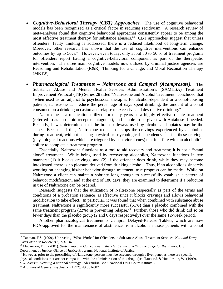- *Cognitive-Behavioral Therapy (CBT) Approaches.* The use of cognitive behavioral models has been recognized as a critical factor in reducing recidivism. A research review of meta-analyses found that cognitive behavioral approaches consistently appear to be among the most effective treatment therapy for substance abusers.<sup>13</sup> CBT approaches suggest that unless offenders' faulty thinking is addressed, there is a reduced likelihood of long-term change. Moreover, other research has shown that the use of cognitive interventions can enhance outcomes by up to 50%.<sup>14</sup> However, even today, only about 30 to 50 % of treatment programs for offenders report having a cognitive-behavioral component as part of the therapeutic intervention. The three main cognitive models now utilized by criminal justice agencies are Reasoning and Rehabilitation ( $R\&R$ ), Thinking for a Change, and Moral Reconation Therapy (MRT®).
- *Pharmacological Treatments Naltrexone and Campral (Acamprosate).*The Substance Abuse and Mental Health Services Administration's (SAMHSA) Treatment Improvement Protocol (TIP) Series 28 titled "Naltrexone and Alcohol Treatment" concluded that "when used as an adjunct to psychosocial therapies for alcohol-dependent or alcohol-abusing patients, naltrexone can reduce the percentage of days spent drinking, the amount of alcohol consumed on a drinking occasion and relapse to excessive and destructive drinking."

Naltrexone is a medication utilized for many years as a highly effective opiate treatment (referred to as an opioid receptor antagonist), and is able to be given with Antabuse if needed. Recently, it was determined that the brain pathways used by alcohol and opiates may be the same. Because of this, Naltrexone reduces or stops the cravings experienced by alcoholics during treatment, without causing physical or psychological dependency.<sup>15</sup> It is these cravings (physiological reactions which are triggered by behavioral cues) that interfere with an alcoholic's ability to complete a treatment program.

Essentially, Naltrexone functions as a tool to aid recovery and treatment; it is not a "stand alone" treatment. While being used by recovering alcoholics, Naltrexone functions in two manners: (1) it blocks cravings, and (2) if the offender does drink, while they may become intoxicated, there is no pleasure derived from drinking alcohol. Thus, if an alcoholic is sincerely working on changing his/her behavior through treatment, true progress can be made. While on Naltrexone a client can maintain sobriety long enough to successfully establish a pattern of behavior modification, and at the end of 180 days, they are examined to determine if a reduction in use of Naltrexone can be ordered.

Research suggests that the utilization of Naltrexone (especially as part of the terms and conditions of a probation sentence) is effective since it blocks cravings and allows behavioral modification to take effect. In particular, it was found that when combined with substance abuse treatment, Naltrexone is significantly more successful (61%) than a placebo combined with the same treatment program (22%) in preventing relapse.<sup>16</sup> Further, those who did drink did so on fewer days than the placebo group (2 and 6 days respectively) over the same 12-week period.

Another pharmacological treatment is Campral Delayed-Release Tablets, which are now FDA-approved for the maintenance of abstinence from alcohol in those patients with alcohol

<span id="page-12-0"></span><sup>13</sup> Taxman, F.S. (1999). Unraveling "What Works" for Offenders in Substance Abuse Treatment Services. *National Drug Court Institute Review* 2(2): 93-134.<br><sup>14</sup> Mackenzie, D.L. (2001). *Sentencing and Corrections in the 21st Century: Setting the Stage for the Future.* U.S.

<span id="page-12-1"></span>Department of Justice, Office of Justice Programs, National Institute of Justice.<br><sup>15</sup> However, prior to the prescribing of Naltrexone, persons must be screened through a liver panel as there are specific

<span id="page-12-2"></span>physical conditions that are not compatible with the administration of this drug. (see Tauber J. & Huddleston, W. (1999). *DWI courts: Defining a national strategy*. Alexandria, VA: National Drug Court Institute.) 16 Archives of General Psychiatry. (1992), 49:881-887

<span id="page-12-3"></span>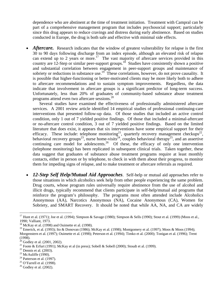dependence who are abstinent at the time of treatment initiation. Treatment with Campral can be part of a comprehensive management program that includes psychosocial support; particularly since this drug appears to reduce cravings and distress during early abstinence. Based on studies conducted in Europe, the drug is both safe and effective with minimal side effects.

Aftercare. Research indicates that the window of greatest vulnerability for relapse is the first 30 to 90 days following discharge from an index episode, although an elevated risk of relapse can extend up to 2 years or more.<sup>17</sup> The vast majority of aftercare services provided in this country are 12-Step or similar peer-support groups.<sup>18</sup> Studies have consistently shown a positive and substantial correlation between engagement in peer-support groups and maintenance of sobriety or reductions in substance use.<sup>19</sup> These correlations, however, do not prove causality. It is possible that higher-functioning or better-motivated clients may be more likely both to adhere to aftercare recommendations and to sustain symptom improvements. Regardless, the data indicate that involvement in aftercare groups is a significant predictor of long-term success. Unfortunately, less than 20% of graduates of community-based substance abuse treatment programs attend even two aftercare sessions.[20](#page-13-3)

Several studies have examined the effectiveness of professionally administered aftercare services. A 2001 review article identified 14 empirical studies of professional continuing-care interventions that presented follow-up data. Of those studies that included an active control condition, only 1 out of 7 yielded positive findings. Of those that included a minimal-aftercare or no-aftercare control condition, 3 out of 7 yielded positive findings. Based on the limited literature that does exist, it appears that six interventions have some empirical support for their efficacy. These include: telephone monitoring<sup>21</sup>, quarterly recovery management checkups<sup>22</sup>, behavioral recovery groups<sup>23</sup>, nurse home-visits<sup>24</sup>, couples behavioral therapy<sup>25</sup>, and an assertive continuing care model for adolescents.<sup>26</sup> Of these, the efficacy of only one intervention (telephone monitoring) has been replicated in subsequent clinical trials. Taken together, these data suggest that graduates of substance abuse treatment programs require at least monthly contacts, either in person or by telephone, to check in with them about their progress, to monitor them for impeding signs of relapse, and to make treatment or aftercare referrals as required.

• *12-Step Self Help/Mutual Aid Approaches*. Self-help or mutual aid approaches refer to those situations in which alcoholics seek help from other people experiencing the same problem. Drug courts, whose program rules universally require abstinence from the use of alcohol and illicit drugs, typically recommend that clients participate in self-help/mutual aid programs that reinforce the program's philosophy. The programs most often attended include Alcoholics Anonymous (AA), Narcotics Anonymous (NA), Cocaine Anonymous (CA), Women for Sobriety, and SMART Recovery. It should be noted that while AA, NA, and CA are widely

<span id="page-13-6"></span> $23$  McAuliffe (1990).

1

<span id="page-13-8"></span> $25$  O'Farrell et al. (1998).

<span id="page-13-0"></span><sup>&</sup>lt;sup>17</sup> Hunt et al. (1971); Joe et al. (1994); Simpson & Savage (1980); Simpson & Sells (1990); Stout et al. (1999) (Moos et al., 1990; Valliant, 1973.

<span id="page-13-1"></span> $18$  McKay et al. (1998) and Ouimette et al. (1998).

<span id="page-13-2"></span><sup>&</sup>lt;sup>19</sup> Emerick, et al. (1993); Ito & Donovan (1986); McKay et al. (1998); Montgomery et al. (1997); Moos & Moos (1994); Morgenstern et al. (1997); Ouimette et al. (1998); Peterson et al. (1994); Timko et al. (2000); Tonigan et al. (1996); Trent (1998).

<span id="page-13-3"></span> $^{20}$  Godley et al. (2001, 2002).

<span id="page-13-4"></span><sup>&</sup>lt;sup>21</sup> Foote & Erfurt (1991); McKay et al (in press); Sobell & Sobell (2000); Stoudt et al. (1999).

<span id="page-13-5"></span> $22$  Dennis et al. (2003).

<span id="page-13-7"></span> $24$  Patterson et al. (1997).

<span id="page-13-9"></span> $26$  Godley et al. (2002).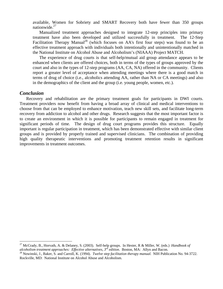available, Women for Sobriety and SMART Recovery both have fewer than 350 groups nationwide. $27$ 

Manualized treatment approaches designed to integrate 12-step principles into primary treatment have also been developed and utilized successfully in treatment. The 12-Step Facilitation Therapy Manual<sup>28</sup> (which focuses on AA's first four steps) was found to be an effective treatment approach with individuals both intentionally and unintentionally matched in the National Institute on Alcohol Abuse and Alcoholism's (NIAAA) Project MATCH.

The experience of drug courts is that self-help/mutual aid group attendance appears to be enhanced when clients are offered choices, both in terms of the types of groups approved by the court and also in the types of 12-step programs (AA, CA, NA) offered in the community. Clients report a greater level of acceptance when attending meetings where there is a good match in terms of drug of choice (i.e., alcoholics attending AA, rather than NA or CA meetings) and also in the demographics of the client and the group (i.e. young people, women, etc.).

#### *Conclusion*

 $\overline{a}$ 

Recovery and rehabilitation are the primary treatment goals for participants in DWI courts. Treatment providers now benefit from having a broad array of clinical and medical interventions to choose from that can be employed to enhance motivation, teach new skill sets, and facilitate long-term recovery from addiction to alcohol and other drugs. Research suggests that the most important factor is to create an environment in which it is possible for participants to remain engaged in treatment for significant periods of time. The design of drug court programs provides this structure. Equally important is regular participation in treatment, which has been demonstrated effective with similar client groups and is provided by properly trained and supervised clinicians. The combination of providing high quality therapeutic interventions and promoting treatment retention results in significant improvements in treatment outcomes.

<span id="page-14-0"></span><sup>27</sup> McCrady, B., Horvath, A. & Delaney, S. (2003). Self-help groups. In Hester, R & Miller, W. (eds.) *Handbook of*  alcoholism treatment approaches: Effective alternatives,  $3^{rd}$  edition. Boston, MA: Allyn and Bacon.<br><sup>28</sup> Nowinski, J., Baker, S. and Carroll, K. (1994). *Twelve step facilitation therapy manual*. NIH Publication No. 94-

<span id="page-14-1"></span>Rockville, MD: National Institute on Alcohol Abuse and Alcoholism.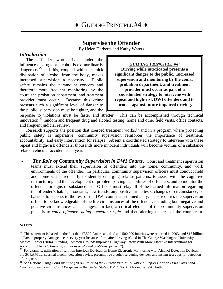# **Supervise the Offender**

By Helen Harberts and Kathy Waters

## <span id="page-15-0"></span>*Introduction*

The offender who drives under the influence of drugs or alcohol is extraordinarily dangerous, $^{29}$  and this, coupled with the quick dissipation of alcohol from the body, makes increased supervision a necessity. Public safety remains the paramount concern and therefore more frequent monitoring by the court, the probation department, and treatment provider must occur. Because this crime presents such a significant level of danger to the public, supervision must be tighter, and the

*GUIDING PRINCIPLE #4:*  **Driving while intoxicated presents a significant danger to the public. Increased supervision and monitoring by the court, probation department, and treatment provider must occur as part of a coordinated strategy to intervene with repeat and high-risk DWI offenders and to protect against future impaired driving.** 

response to violations must be faster and stricter. This can be accomplished through technical innovation, $30$  random and frequent drug and alcohol testing, home and other field visits, office contacts, and frequent judicial review.

Research supports the position that coerced treatment works, $31$  and in a program where protecting public safety is imperative, community supervision reinforces the importance of treatment, accountability, and early intervention for relapse. Absent a coordinated strategy to intervene with these repeat and high-risk offenders, thousands more innocent individuals will become victims of a substance related vehicular accident each year.

*The Role of Community Supervision in DWI Courts.* **Court and treatment supervision** teams must extend their supervision of offenders into the home, community, and work environments of the offender. In particular, community supervision officers must conduct field and home visits frequently to identify emerging relapse patterns, to assist with the cognitive restructuring and the development of problem solving capabilities of offenders, and to monitor the offender for signs of substance use. Officers must relay all of the learned information regarding the offender's habits, associates, new trends, any positive urine tests, changes of circumstance, or barriers to success to the rest of the DWI court team immediately. This requires the supervision officer to be knowledgeable of the life circumstances of the offender, including both negative and positive circumstances and changes. In fact, a critical element of the community supervision piece is to *catch offenders doing something right* and then alerting the rest of the court team.

1

<span id="page-15-1"></span>**NOTES** 

<sup>&</sup>lt;sup>29</sup> This statement is based on the fact that 17,500 Americans died and 500,000 injuries were reported in 2003, and \$16 billion dollars in property damage occurs every year because of impaired driving (Cited in The George Washington University Medical Center (2004). "Finding Common Ground: Improving Highway Safety With More Effective Interventions for Alcohol Problems". *Ensuring solutions to alcohol problems, primer 7*).<br><sup>30</sup> For example, utilization of Ignition Interlock Devices, In-Home Electronic Monitoring with Alcohol Detection Devices,

<span id="page-15-2"></span>the SCRAM transdermal alcohol detection device, presumptive alcohol screening devices, and instant test cups for detection of drug use.<br><sup>31</sup> See National Drug Court Institute (2004). *Painting the Current Picture: A National Report Card on Drug Courts and* 

<span id="page-15-3"></span>*Other Problem Solving Court Programs in the United States, Vol. I, No. 1*. Alexandria, VA: Author.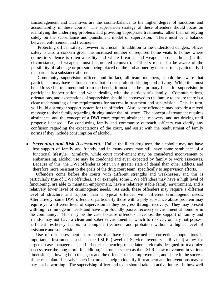Encouragement and incentives are the counterbalance to the higher degree of sanctions and accountability in these courts. The supervision strategy of these offenders should focus on identifying the underlying problems and providing appropriate treatments, rather than on relying solely on the surveillance and punishment model of supervision. There must be a balance between enforcement and treatment.

Protecting officer safety, however, is crucial. In addition to the understood dangers, officer safety is also a concern given the increased number of required home visits to homes where domestic violence is often a reality and where firearms and weapons pose a threat (in this circumstance, all weapons must be ordered removed). Officers must also be aware of the possibility of sabotage or pressure being placed on the probationer by their partner, particularly if the partner is a substance abuser.

Community supervision officers and in fact, all team members, should be aware that participants may have cultural norms that do not prohibit drinking and driving. While this must be addressed in treatment and from the bench, it must also be a primary focus for supervision in participant indoctrination and when dealing with the participant's family. Communications, orientations, and expectations of supervision should be conveyed to the family to ensure there is a clear understanding of the requirements for success in treatment and supervision. This, in turn, will build a stronger support system for the offender. Also, some offenders may provide a mixed message to their family regarding driving under the influence. The concept of treatment requires abstinence, and the concept of a DWI court requires abstinence, recovery, and not driving until properly licensed. By conducting family and community outreach, officers can clarify any confusion regarding the expectations of the court, and assist with the readjustment of family norms if they include consumption of alcohol.

• *Screening and Risk Assessment*. Unlike the illicit drug user, the alcoholic may not have lost support of family and friends, and in many cases may still have some semblance of a functional lifestyle. Similarly, while court involvement may be considered inconvenient or embarrassing, alcohol use may be condoned and even expected by family or work associates. Because of this, the DWI offender is often in a greater state of denial than other addicts, and therefore more resistant to the goals of the drug court team, specifically to supervision efforts.

Offenders come before the courts with different strengths and weaknesses, and this is particularly true of DWI offenders. For example, some DWI offenders may have a high level of functioning, are able to maintain employment, have a relatively stable family environment, and a relatively lower level of criminogenic needs. As such, these offenders may require a different level of structure and support than a typical offender with different criminogenic needs. Alternatively, some DWI offenders, particularly those with a poly substance abuse problem may require yet a different level of supervision as they progress through recovery. They may present with high criminogenic needs and have a profoundly poorer recovery environment at home or in the community. This may be the case because offenders have lost the support of family and friends, may not have a clean and sober environment in which to recover, or may not possess sufficient resiliency factors to complete treatment and probation without a higher level of assistance and supervision.

Use of risk assessment instruments that have been normed on corrections populations is important. Instruments such as the LSI-R (Level of Service Inventory – Revised) allow for targeted case management, and a better sequencing of collateral referrals designed to maximize success over the long term. In addition, instruments such as the LSI-R show movement in various dimensions, allowing both the agent and the offender to see improvement, and share in the success of the case plan. Likewise, such instruments help to identify if treatment and interventions may or may not be working. The supervising officer and team should take an active interest in how well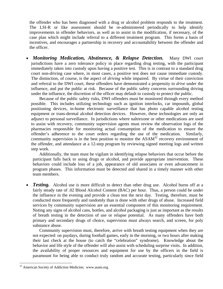the offender who has been diagnosed with a drug or alcohol problem responds to the treatment. The LSI-R or like assessment should be re-administered periodically to help identify improvements in offender behaviors, as well as to assist in the modification, if necessary, of the case plan which might include referral to a different treatment program. This forms a basis of incentives, and encourages a partnership in recovery and accountability between the offender and the officer.

*Monitoring Medication, Abstinence, & Relapse Detection.* Many DWI court jurisdictions have a zero tolerance policy in place regarding drug testing, with the participant immediately taken into custody upon having a positive test. This is in contrast to a standard drug court non-driving case where, in most cases, a positive test does not cause immediate custody. The distinction, of course, is the aspect of *driving* while impaired. By virtue of their conviction and referral to the DWI court, these offenders have demonstrated a propensity to *drive* under the influence, and put the public at risk. Because of the public safety concerns surrounding driving under the influence, the discretion of the officer may default to custody to protect the public.

Because of the public safety risks, DWI offenders must be monitored through every method possible. This includes utilizing technology such as ignition interlocks, car impounds, global positioning devices, in-home electronic surveillance that has photo capable alcohol testing equipment or trans-dermal alcohol detection devices. However, these technologies are only an adjunct to personal surveillance. In jurisdictions where naltrexone or other medications are used to assist with recovery, community supervision agents must review the observation logs of the pharmacies responsible for monitoring actual consumption of the medication to ensure the offender's adherence to the court orders regarding the use of the medication. Similarly, community supervision is in the best position to monitor the  $ASAM<sup>32</sup>$  recovery environment of the offender, and attendance at a 12-step program by reviewing signed meeting logs and written step work.

Additionally, the team must be vigilant in identifying relapse behaviors that occur before the participant falls back to using drugs or alcohol, and provide appropriate intervention. These behaviors could include loss of a job, appearance of old associates or even advancement in program phases. This information must be detected and shared in a timely manner with other team members.

• **Testing.** Alcohol use is more difficult to detect than other drug use. Alcohol burns off at a fairly steady rate of .02 Blood Alcohol Content (BAC) per hour. Thus, a person could be under the influence in the evening and provide a clean test the next day. Testing, therefore, must be conducted more frequently and randomly than is done with other drugs of abuse. Increased field services by community supervision are an essential component of this monitoring requirement. Noting any signs of alcohol cans, bottles, and alcohol packaging is just as important as the results of breath testing in the detection of use or relapse potential. As many offenders have both primary and secondary drugs of choice, supervision must always search, and screen, for poly substance abuse.

Community supervision must, therefore, arrive with breath testing equipment when they are not expected: on paydays, during football games, early in the morning, or two hours after making their last check at the house (to catch the "celebration" syndrome). Knowledge about the behavior and life style of the offender will also assist with scheduling surprise visits. In addition, the availability of proper resources and equipment for use by the officers in the field is paramount for being able to conduct truly random and accurate testing, particularly since field

<span id="page-17-0"></span><sup>&</sup>lt;sup>32</sup> American Society of Addiction Medicine; www.asam.org.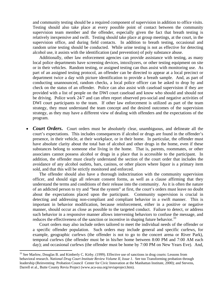and community testing should be a required component of supervision in addition to office visits. Testing should also take place at every possible point of contact between the community supervision team member and the offender, especially given the fact that breath testing is relatively inexpensive and swift. Testing should take place at group meetings, at the court, in the supervision office, and during field contacts. In addition to breath testing, occasional and random urine testing should be conducted. While urine testing is not as effective for detecting alcohol use, it assists with the identification (and prevention) of poly substance abuse.

Additionally, other law enforcement agencies can provide assistance with testing, as many local police departments have screening devices, intoxilyzers, or other testing equipment on site or in their vehicles. Random testing, or assigned testing can thus assist with monitoring use. As part of an assigned testing protocol, an offender can be directed to appear at a local precinct or department twice a day with picture identification to provide a breath sample. And, as part of conducting unannounced, random checks, a local police officer can be asked to drop by and check on the status of an offender. Police can also assist with caseload supervision if they are provided with a list of people on the DWI court caseload and know who should and should not be driving. Police work 24/7 and can often report observed pro-social and negative activities of DWI court participants to the team. If other law enforcement is utilized as part of the team strategy, they must understand the team concept and the desired outcomes of the supervision strategy, as they may have a different view of dealing with offenders and the expectations of the program.

• *Court Orders*. Court orders must be absolutely clear, unambiguous, and delineate all the court's expectations. This includes consequences if alcohol or drugs are found in the offender's presence, in their vehicle, at their workplace, or in their home. In particular, the offender must have absolute clarity about the total ban of alcohol and other drugs in the home, even if these substances belong to someone else living in the home. That is, parents, roommates, or other associates cannot possess alcohol or drugs in a place that is accessible to the participant. In addition, the offender must clearly understand the section of the court order that includes the avoidance of any alcohol outlets, bars, casinos, or other places where liquor is a primary item sold, and that this will be strictly monitored and enforced.

The offender should also have a thorough indoctrination with the community supervision officer, and should sign all relevant consent forms, as well as a clause affirming that they understand the terms and conditions of their release into the community. As it is often the nature of an addicted person to try and "beat the system" at first, the court's orders must leave no doubt about the expectations placed upon the participant. Community supervision is crucial in detecting and addressing non-compliant and compliant behavior in a swift manner. This is important in behavior modification, because reinforcement, either in a positive or negative manner, should occur as close as possible to the targeted conduct. Failure to detect, or address such behavior in a responsive manner allows intervening behaviors to confuse the message, and reduces the effectiveness of the sanction or incentive in shaping future behavior.<sup>[33](#page-18-0)</sup>

Court orders may also include orders tailored to meet the individual needs of the offender or a specific offender population. Such orders may include general and specific curfews, for example, geographic curfews (the offender is not to go to the concert arena or River Park), temporal curfews (the offender must be in his/her home between 8:00 PM and 7:00 AM each day); and occasional curfews (the offender must be home by 7:00 PM on New Years Eve). And,

<span id="page-18-0"></span><sup>&</sup>lt;sup>33</sup> See Marlow, Douglas B. and Kimberly C. Kirby. (1999). Effective use of sanctions in drug courts: Lessons from behavioral research. *National Drug Court Institute Review Volume II, Issue 1*. See too Transforming probation through leadership (Reinventing Probation Council Center for Civic Innovation at the Manhattan Institute, 2000); and Stevens, Darrell et al., Butte County Revia Project (www.aca-usa.org/reviaproject.htm).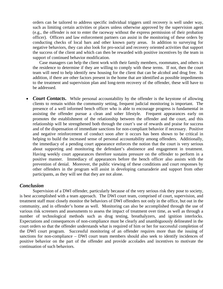orders can be tailored to address specific individual triggers until recovery is well under way, such as limiting certain activities or places unless otherwise approved by the supervision agent (e.g., the offender is not to enter the raceway without the express permission of their probation officer). Officers and law enforcement partners can assist in the monitoring of these orders by conducting checks of local bars and other known party areas. In addition to surveying for negative behaviors, they can also look for pro-social and recovery oriented activities that support the success of the client and which can then be rewarded with positive incentives by the team in support of continued behavior modification.

Case managers can help the client work with their family members, roommates, and others in the residence to determine if they are willing to comply with these terms. If not, then the court team will need to help identify new housing for the client that can be alcohol and drug free. In addition, if there are other factors present in the home that are identified as possible impediments to the treatment and supervision plan and long-term recovery of the offender, these will have to be addressed.

• *Court Contacts*. While personal accountability by the offender is the keystone of allowing clients to remain within the community setting, frequent judicial monitoring is important. The presence of a well informed bench officer who is able to encourage progress is fundamental in assisting the offender pursue a clean and sober lifestyle. Frequent appearances early on promotes the establishment of the relationship between the offender and the court, and this relationship will be strengthened both through the court's use of rewards and praise for success and of the dispensation of immediate sanctions for non-compliant behavior if necessary. Positive and negative reinforcement of conduct soon after it occurs has been shown to be critical in helping to build the increased sense of personal accountability among offenders. Additionally, the immediacy of a pending court appearance enforces the notion that the court is very serious about supporting and monitoring the defendant's abstinence and engagement in treatment. Having weekly court appearances therefore sustains pressure on the offender to perform in a positive manner. Immediacy of appearances before the bench officer also assists with the prevention of denial. Moreover, the public viewing of these conditions and court responses by other offenders in the program will assist in developing camaraderie and support from other participants, as they will see that they are not alone.

### *Conclusion*

 Supervision of a DWI offender, particularly because of the very serious risk they pose to society, is best accomplished with a team approach. The DWI court team, comprised of court, supervision, and treatment staff must closely monitor the behaviors of DWI offenders not only in the office, but out in the community, and in offender's home as well. Monitoring can also be accomplished through the use of various risk screeners and assessments to assess the impact of treatment over time, as well as through a number of technological methods such as drug testing, breathalyzers, and ignition interlocks. Expectations and consequences of non-compliance must be clearly and unambiguously delineated in the court orders so that the offender understands what is required of him or her for successful completion of the DWI court program. Successful monitoring of an offender requires more than the issuing of sanctions for non-compliance – DWI court team members should also seek to identify incidences of positive behavior on the part of the offender and provide accolades and incentives to motivate the continuation of such behaviors.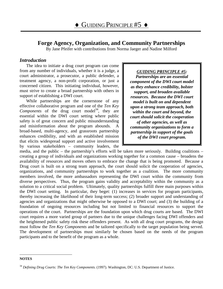# <span id="page-20-0"></span>**Forge Agency, Organization, and Community Partnerships**

By Jane Pfeifer with contributions from Norma Jaeger and Nadine Milford

## *Introduction*

The idea to initiate a drug court program can come from any number of individuals, whether it is a judge, a court administrator, a prosecutor, a public defender, a treatment agency, a non-profit corporation, or just a concerned citizen. This initiating individual, however, must strive to create a broad partnership with others in support of establishing a DWI court.

While partnerships are the cornerstone of any effective collaborative program and one of the *Ten Key Components* of the drug court [mod](#page-20-1)el<sup>34</sup>, they are essential within the DWI court setting where public safety is of great concern and public misunderstanding and misinformation about the program abounds. A broad-based, multi-agency, and grassroots partnership enhances credibility, and with an established mission that elicits widespread support and active involvement by various stakeholders – community leaders, the

## *GUIDING PRINCIPLE #5:*

*Partnerships are an essential component of the DWI court model as they enhance credibility, bolster support, and broaden available resources. Because the DWI court model is built on and dependent upon a strong team approach, both within the court and beyond, the court should solicit the cooperation of other agencies, as well as community organizations to form a partnership in support of the goals of the DWI court program.*

media, and the public – the partnership's efforts will be taken more seriously. Building coalitions – creating a group of individuals and organizations working together for a common cause – broadens the availability of resources and moves others to embrace the change that is being promoted. Because a Drug court is built on a strong team approach, the court should solicit the cooperation of agencies, organizations, and community partnerships to work together as a coalition. The more community members involved, the more ambassadors representing the DWI court within the community from diverse perspectives. Thus, the program gains validity and acceptability within the community as a solution to a critical social problem. Ultimately, quality partnerships fulfill three main purposes within the DWI court setting. In particular, they beget: (1) increases in services for program participants, thereby increasing the likelihood of their long-term success; (2) broader support and understanding of agencies and organizations that might otherwise be opposed to a DWI court; and (3) the building of a foundation of ongoing resources including but not limited to financial resources to support the operations of the court. Partnerships are the foundation upon which drug courts are based. The DWI court requires a more varied group of partners due to the unique challenges facing DWI offenders and the heightened public safety risk these offenders present. As with all drug court programs, the design must follow the *Ten Key Components* and be tailored specifically to the target population being served. The development of partnerships must similarly be chosen based on the needs of the program participants and to the benefit of the program as a whole.

#### <span id="page-20-1"></span>1 **NOTES**

<sup>34</sup> *Defining Drug Courts: The Ten Key Components.* (1997). Washington, DC: U.S. Department of Justice.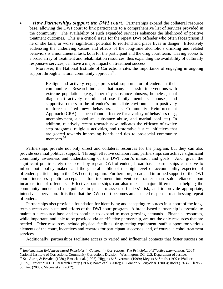*How Partnerships support the DWI court.* Partnerships expand the collateral resource base, allowing the DWI court to link participants to a comprehensive list of services provided in the community. The availability of such expanded services enhances the likelihood of positive treatment outcomes. This is a critical issue for the repeat DWI offender who often faces prison if he or she fails, or worse, significant potential to reoffend and place lives in danger. Effectively addressing the underlying causes and effects of the long-time alcoholic's drinking and related behaviors is a monumental task, both for the participant and the drug court team. Having access to a broad array of treatment and rehabilitation resources, thus expanding the availability of culturally responsive services, can have a major impact on treatment success.

Moreover, the National Institute of Corrections cites the importance of engaging in ongoing support through a natural community approach  $35$ :

Realign and actively engage pro-social supports for offenders in their communities. Research indicates that many successful interventions with extreme populations (e.g., inner city substance abusers, homeless, dual diagnosed) actively recruit and use family members, spouses, and supportive others in the offender's immediate environment to positively reinforce desired new behaviors. This Community Reinforcement Approach (CRA) has been found effective for a variety of behaviors (e.g., unemployment, alcoholism, substance abuse, and marital conflicts). In addition, relatively recent research now indicates the efficacy of twelve step programs, religious activities, and restorative justice initiatives that are geared towards improving bonds and ties to pro-social community members.<sup>[36](#page-21-1)</sup>

Partnerships provide not only direct and collateral resources for the program, but they can also provide essential political support. Through effective collaboration, partnerships can achieve significant community awareness and understanding of the DWI court's mission and goals. And, given the significant public safety risk posed by repeat DWI offenders, broad-based partnerships can serve to inform both policy makers and the general public of the high level of accountability expected of offenders participating in the DWI court program. Furthermore, broad and informed support of the DWI court increases public acceptance for treatment interventions, rather than sole reliance upon incarceration of offenders. Effective partnerships can also make a major difference in helping the community understand the policies in place to assess offenders' risk, and to provide appropriate, intensive supervision. It is then that the DWI court becomes an accepted response to addressing repeat offenders.

Partnerships also provide a foundation for identifying and accepting resources in support of the longterm success and sustained efforts of the DWI court program. A broad-based partnership is essential to maintain a resource base and to continue to expand to meet growing demands. Financial resources, while important, and able to be provided via an effective partnership, are not the only resources that are needed. Other resources include physical facilities, drug-testing equipment, staff support for various elements of the court, incentives and rewards for participant successes, and, of course, alcohol treatment services.

Additionally, partnerships facilitate access to varied and influential contacts that foster success on

<span id="page-21-0"></span><sup>&</sup>lt;sup>35</sup> Implementing Evidenced-based Principles in Community Corrections: The Principles of Effective Intervention. (2004).<br>National Institute of Corrections, Community Corrections Division. Washington, DC: U.S. Department of

<span id="page-21-1"></span><sup>&</sup>lt;sup>36</sup> See Azrin, & Besalel. (1980); Emrick et al. (1993); Higgins & Silverman. (1999); Meyers & Smith. (1997); Wallace (1989); Project MATCH Research Group (1997); Bonta et al. (2002); O'Connor & Perryclear. (2003); Ricks (1974); Clear & Sumter. (2003); Meyers et al. (2002).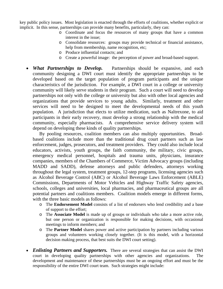key public policy issues. Most legislation is enacted through the efforts of coalitions, whether explicit or implicit. In this sense, partnerships can provide many benefits, particularly, they can:

- o Coordinate and focus the resources of many groups that have a common interest in the issue;
- o Consolidate resources: groups may provide technical or financial assistance, help from membership, name recognition, etc;
- o Produce influential contacts; and
- o Create a powerful image: the perception of power and broad-based support.
- *What Partnerships to Develop.* Partnerships should be expansive, and each community designing a DWI court must identify the appropriate partnerships to be developed based on the target population of program participants and the unique characteristics of the jurisdiction. For example, a DWI court in a college or university community will likely serve students in their program. Such a court will need to develop partnerships not only with the college or university but also with other local agencies and organizations that provide services to young adults. Similarly, treatment and other services will need to be designed to meet the developmental needs of this youth population. A jurisdiction that elects to utilize medication, such as Naltrexone, to aid participants in their early recovery, must develop a strong relationship with the medical community, especially pharmacists. A comprehensive service delivery system will depend on developing these kinds of quality partnerships.

By pooling resources, coalition members can also multiply opportunities. Broadbased coalitions include more than the traditional drug court partners such as law enforcement, judges, prosecutors, and treatment providers. They could also include local educators, activists, youth groups, the faith community, the military, civic groups, emergency medical personnel, hospitals and trauma units, physicians, insurance companies, members of the Chambers of Commerce, Victim Advocacy groups (including MADD and SADD), defense attorneys and public defenders, attorneys working throughout the legal system, treatment groups, 12-step programs, licensing agencies such as Alcohol Beverage Control (ABC) or Alcohol Beverage Laws Enforcement (ABLE) Commissions, Departments of Motor Vehicles and Highway Traffic Safety agencies, schools, colleges and universities, local pharmacies, and pharmaceutical groups are all potential partners and coalitions members. Coalition models emerge in different forms, with the three basic models as follows:

- o The **Endorsement Model** consists of a list of endorsers who lend credibility and a base of support to the effort;
- o The **Associate Model** is made up of groups or individuals who take a more active role, but one person or organization is responsible for making decisions, with occasional meetings to inform members; and
- o The **Partner Model** shares power and active participation by partners including various groups and volunteers working closely together. (It is this model, with a horizontal decision making process, that best suits the DWI court setting).
- *Enlisting Partners and Supporters*. There are several strategies that can assist the DWI court in developing quality partnerships with other agencies and organizations. The development and maintenance of these partnerships must be an ongoing effort and must be the responsibility of the entire DWI court team. Such strategies might include: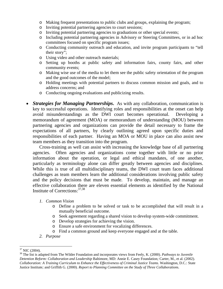- o Making frequent presentations to public clubs and groups, explaining the program;
- o Inviting potential partnering agencies to court sessions;
- o Inviting potential partnering agencies to graduations or other special events;
- o Including potential partnering agencies in Advisory or Steering Committees, or in ad hoc committees focused on specific program issues;
- o Conducting community outreach and education, and invite program participants to "tell their story";
- o Using video and other outreach materials;
- o Setting up booths at public safety and information fairs, county fairs, and other community events;
- o Making wise use of the media to let them see the public safety orientation of the program and the good outcomes of the model;
- o Holding meetings with potential partners to discuss common mission and goals, and to address concerns; and
- o Conducting ongoing evaluations and publicizing results.
- *Strategies for Managing Partnerships.* As with any collaboration, communication is key to successful operations. Identifying roles and responsibilities at the onset can help avoid misunderstandings as the DWI court becomes operational. Developing a memorandum of agreement (MOA) or memorandum of understanding (MOU) between partnering agencies and organizations can provide the detail necessary to frame the expectations of all partners, by clearly outlining agreed upon specific duties and responsibilities of each partner. Having an MOA or MOU in place can also assist new team members as they transition into the program.

Cross-training as well can assist with increasing the knowledge base of all partnering agencies. Often agencies and organizations come together with little or no prior information about the operation, or legal and ethical mandates, of one another, particularly as terminology alone can differ greatly between agencies and disciplines. While this is true of all multidisciplinary teams, the DWI court team faces additional challenges as team members learn the additional considerations involving public safety and the policy decisions that must be made. To develop, maintain, and manage an effective collaboration there are eleven essential elements as identified by the National Institute of Corrections:  $37,38$  $37,38$ 

- *1. Common Vision* 
	- o Define a problem to be solved or task to be accomplished that will result in a mutually beneficial outcome.
	- o Seek agreement regarding a shared vision to develop system-wide commitment.
	- o Develop strategies for achieving the vision.
	- o Ensure a safe environment for vocalizing differences.
	- o Find a common ground and keep everyone engaged and at the table.
- *2. Purpose*

<span id="page-23-0"></span><sup>37</sup> NIC (2004).

<span id="page-23-1"></span><sup>38</sup> The list is adapted from The Wilder Foundation and incorporates views from Feely, K. (2000). *Pathways to Juvenile Detention Reform: Collaboration and Leadership* Baltimore, MD: Annie E. Casey Foundation*;* Carter, M., et al. (2002). *Collaboration: A Training Curriculum to Enhance the Effectiveness of Criminal Justice Teams.* Washington, D.C.: State Justice Institute*;* and Griffith G. (2000). *Report to Planning Committee on the Study of Three Collaboration*s.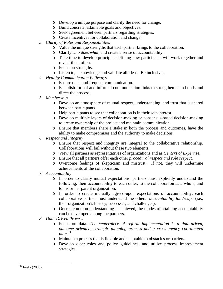- o Develop a unique purpose and clarify the need for change.
- o Build concrete, attainable goals and objectives.
- o Seek agreement between partners regarding strategies.
- o Create incentives for collaboration and change.
- *3. Clarity of Roles and Responsibilities* 
	- o Value the unique strengths that each partner brings to the collaboration.
	- o Clarify *who does what,* and create a sense of accountability.
	- o Take time to develop principles defining how participants will work together and revisit them often.
	- o Focus on strengths.
	- o Listen to, acknowledge and validate all ideas. Be inclusive.
- *4. Healthy Communication Pathways* 
	- o Ensure open and frequent communication.
	- o Establish formal and informal communication links to strengthen team bonds and direct the process.
- *5. Membership* 
	- o Develop an atmosphere of mutual respect, understanding, and trust that is shared between participants.
	- o Help participants to see that collaboration is in their self-interest.
	- o Develop multiple layers of decision-making or consensus-based decision-making to create ownership of the project and maintain communication.
	- o Ensure that members share a stake in both the process and outcomes, have the ability to make compromises and the authority to make decisions.
- *6. Respect and Integrity* 
	- o Ensure that respect and integrity are integral to the collaborative relationship. Collaborations will fail without these two elements.
	- o View all partners as representatives of organizations and as *Centers of Expertise.*
	- o Ensure that all partners offer each other *procedural respect and role respect.*
	- o Overcome feelings of skepticism and mistrust. If not, they will undermine achievements of the collaboration.
- *7. Accountability* 
	- o In order to clarify mutual expectations, partners must explicitly understand the following: their accountability to each other, to the collaboration as a whole, and to his or her parent organization.
	- o In order to create mutually agreed-upon expectations of accountability, each collaborative partner must understand the others' *accountability landscape* (i.e., their organization's history, successes, and challenges).
	- o Once a common understanding is achieved, the modes of attaining accountability can be developed among the partners.
- *8. Data-Driven Process* 
	- o Focus on data. *The centerpiece of reform implementation is a data-driven, outcome oriented, strategic planning process and a cross-agency coordinated plan.[39](#page-24-0)*
	- o Maintain a process that is flexible and adaptable to obstacles or barriers.
	- o Develop clear roles and policy guidelines, and utilize process improvement strategies.

<span id="page-24-0"></span><sup>39</sup> Feely (2000).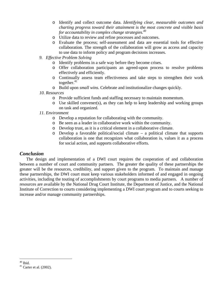- o Identify and collect outcome data. *Identifying clear, measurable outcomes and charting progress toward their attainment is the most concrete and visible basis for accountability in complex change strategies.[40](#page-25-0)*
- o Utilize data to review and refine processes and outcomes.
- o Evaluate the process; self-assessment and data are essential tools for effective collaboration. The strength of the collaboration will grow as access and capacity to use data to inform policy and program decisions increases.
- *9. Effective Problem Solving* 
	- o Identify problems in a safe way before they become crises.
	- o Offer collaboration participants an agreed-upon process to resolve problems effectively and efficiently.
	- o Continually assess team effectiveness and take steps to strengthen their work together. $41$
	- o Build upon *small wins.* Celebrate and institutionalize changes quickly.

#### *10. Resources*

- o Provide sufficient funds and staffing necessary to maintain momentum.
- o Use skilled convener(s), as they can help to keep leadership and working groups on task and organized.

#### *11. Environment*

- o Develop a reputation for collaborating with the community.
- o Be seen as a leader in collaborative work within the community.
- o Develop trust, as it is a critical element in a collaborative climate.
- o Develop a favorable political/social climate a political climate that supports collaboration is one that recognizes what collaboration is, values it as a process for social action, and supports collaborative efforts.

## *Conclusion*

 The design and implementation of a DWI court requires the cooperation of and collaboration between a number of court and community partners. The greater the quality of these partnerships the greater will be the resources, credibility, and support given to the program. To maintain and manage these partnerships, the DWI court must keep various stakeholders informed of and engaged in ongoing activities, including the touting of accomplishments by court programs to media partners. A number of resources are available by the National Drug Court Institute, the Department of Justice, and the National Institute of Correction to courts considering implementing a DWI court program and to courts seeking to increase and/or manage community partnerships.

<span id="page-25-0"></span> $40$  Ibid.

<span id="page-25-1"></span> $41$  Carter et al. (2002).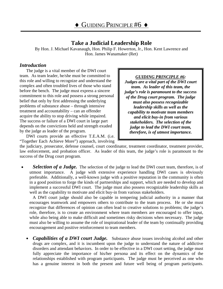# **Take a Judicial Leadership Role**

<span id="page-26-0"></span>By Hon. J. Michael Kavanaugh, Hon. Philip F. Howerton, Jr., Hon. Kent Lawrence and Hon. James Wanamaker (Ret)

## *Introduction*

The judge is a vital member of the DWI court team. As team leader, he/she must be committed to this role and willing to recognize and understand the complex and often troubled lives of those who stand before the bench. The judge must express a sincere commitment to this role and possess a strong personal belief that only by first addressing the underlying problems of substance abuse – through intensive treatment and accountability – can an offender acquire the ability to stop driving while impaired. The success or failure of a DWI court in large part depends on the convictions held and strength exuded by the judge as leader of the program.

DWI courts provide an effective T.E.A.M. (i.e. "Together Each Achieve More") approach, involving

## *GUIDING PRINCIPLE #6:*

*Judges are a vital part of the DWI court team. As leader of this team, the judge's role is paramount to the success of the Drug court program. The judge must also possess recognizable leadership skills as well as the capability to motivate team members and elicit buy-in from various stakeholders. The selection of the judge to lead the DWI court team, therefore, is of utmost importance.* 

the judiciary, prosecutor, defense counsel, court coordinator, treatment coordinator, treatment provider, law enforcement, and probation officer. As leader of this team, the judge's role is paramount to the success of the Drug court program.

**Selection of a Judge.** The selection of the judge to lead the DWI court team, therefore, is of utmost importance. A judge with extensive experience handling DWI cases is obviously preferable. Additionally, a well-known judge with a positive reputation in the community is often in a good position to forge the kinds of partnerships and support, which are needed to develop and implement a successful DWI court. The judge must also possess recognizable leadership skills as well as the capability to motivate and elicit buy-in from various stakeholders.

A DWI court judge should also be capable in tempering judicial authority in a manner that encourages teamwork and empowers others to contribute to the team process. He or she must recognize that differences of opinion can often lead to creative solutions to problems; the judge's role, therefore, is to create an environment where team members are encouraged to offer input, while also being able to make difficult and sometimes risky decisions when necessary. The judge must also be willing to assume the role of inspirational leader of the team by continually providing encouragement and positive reinforcement to team members.

• *Capabilities of a DWI court Judge*. Substance abuse issues involving alcohol and other drugs are complex, and it is incumbent upon the judge to understand the nature of addictive disorders and attendant behaviors. In order to be effective in a DWI court setting, the judge must fully appreciate the importance of his/her persona and its effect on the dynamics of the relationships established with program participants. The judge must be perceived as one who has a genuine interest in both the present and future well being of program participants.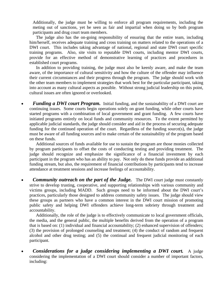Additionally, the judge must be willing to enforce all program requirements, including the meting out of sanctions, yet be seen as fair and impartial when doing so by both program participants and drug court team members.

The judge also has the on-going responsibility of ensuring that the entire team, including him/herself, receives adequate training and cross training on matters related to the operations of a DWI court. This includes taking advantage of national, regional and state DWI court specific training programs. Also, site visits to reputable DWI courts, including mentor DWI courts, provide for an effective method of demonstrative learning of practices and procedures in established court programs.

In addition to providing training, the judge must also be keenly aware, and make the team aware, of the importance of cultural sensitivity and how the culture of the offender may influence their current circumstances and their progress through the program. The judge should work with the other team members to implement strategies that work best for the particular participant, taking into account as many cultural aspects as possible. Without strong judicial leadership on this point, cultural issues are often ignored or overlooked.

• *Funding a DWI court Program.* Initial funding, and the sustainability of a DWI court are continuing issues. Some courts begin operations solely on grant funding, while other courts have started programs with a combination of local government and grant funding. A few courts have initiated programs entirely on local funds and community resources. To the extent permitted by applicable judicial standards, the judge should consider and aid in the process of securing adequate funding for the continued operation of the court. Regardless of the funding source(s), the judge must be aware of all funding sources and to make certain of the sustainability of the program based on these funds.

 Additional sources of funds available for use to sustain the program are those monies collected by program participants to offset the costs of conducting testing and providing treatment. The judge should recognize and emphasize the significance of a financial investment by each participant in the program who has an ability to pay. Not only do these funds provide an additional funding stream, but also, the requirement of financial contributions by participants tend to increase attendance at treatment sessions and increase feelings of accountability.

**Community outreach on the part of the Judge.** The DWI court judge must constantly strive to develop trusting, cooperative, and supporting relationships with various community and victims groups, including MADD. Such groups need to be informed about the DWI court's practices, particularly those designed to address community safety issues. The judge should view these groups as partners who have a common interest in the DWI court mission of promoting public safety and helping DWI offenders achieve long-term sobriety through treatment and accountability.

 Additionally, the role of the judge is to effectively communicate to local government officials, the media, and the general public, the multiple benefits derived from the operation of a program that is based on: (1) individual and financial accountability; (2) enhanced supervision of offenders; (3) the provision of prolonged counseling and treatment; (4) the conduct of random and frequent alcohol and other drug testing; and (5) the continual and frequent judicial monitoring of each participant.

• *Considerations for a judge considering implementing a DWI court.*A judge considering the implementation of a DWI court should consider a number of important factors, including: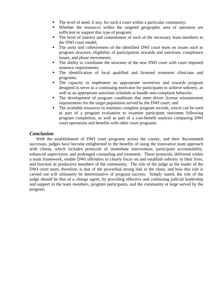- The level of need, if any, for such a court within a particular community;
- Whether the resources within the targeted geographic area of operation are sufficient to support this type of program;
- The level of interest and commitment of each of the necessary team members to the DWI court model;
- The unity and cohesiveness of the identified DWI court team on issues such as program structure, eligibility of participation, rewards and sanctions, compliance issues, and phase movements;
- The ability to coordinate the structure of the new DWI court with court imposed sentence requirements;
- The identification of local qualified and licensed treatment clinicians and programs;
- The capacity to implement an appropriate incentives and rewards program designed to serve as a continuing motivator for participants to achieve sobriety, as well as an appropriate sanctions schedule to handle non-compliant behavior;
- The development of program conditions that meet driver license reinstatement requirements for the target population served by the DWI court; and
- The available resources to maintain complete program records, which can be used as part of a program evaluation to examine participant outcomes following program completion, as well as part of a cost-benefit analysis comparing DWI court operations and benefits with other court programs.

## *Conclusion*

With the establishment of DWI court programs across the county, and their documented successes, judges have become enlightened to the benefits of using the innovative team approach with clients, which includes protocols of immediate intervention, participant accountability, enhanced supervision, and prolonged counseling and treatment. These protocols, delivered within a team framework, enable DWI offenders to clearly focus on and establish sobriety in their lives, and function as productive members of the community. The role of the judge as the leader of the DWI court team, therefore, is that of the proverbial strong link in the chain, and how this role is carried out will ultimately be determinative of program success. Simply stated, the role of the judge should be that of a *change agent*, by providing effective and continuing judicial leadership and support to the team members, program participants, and the community at large served by the program.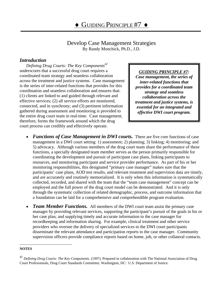# Develop Case Management Strategies By Randy Monchick, Ph.D., J.D.

## <span id="page-29-0"></span>*Introduction*

*Defining Drug Courts: The Key Components[42](#page-29-1)* underscores that a successful drug court requires a coordinated team strategy and seamless collaboration across the treatment and justice systems. Case management is the series of inter-related functions that provides for this coordination and seamless collaboration and ensures that: (1) clients are linked to and guided through relevant and effective services; (2) all service efforts are monitored, connected, and in synchrony; and (3) pertinent information gathered during assessment and monitoring is provided to the entire drug court team in real-time. Case management, therefore, forms the framework around which the drug court process can credibly and effectively operate.

#### *GUIDING PRINCIPLE #7:*

*Case management, the series of inter-related functions that provides for a coordinated team strategy and seamless collaboration across the treatment and justice systems, is essential for an integrated and effective DWI court program.*

- *Functions of Case Management in DWI courts.* There are five core functions of case management in a DWI court setting: 1) assessment; 2) planning; 3) linking; 4) monitoring; and 5) advocacy. Although various members of the drug court team share the performance of these functions, a specially designated team member serves as the person primarily responsible for coordinating the development and pursuit of participant case plans, linking participants to resources, and monitoring participant and service provider performance. As part of his or her monitoring responsibilities, this designated "primary case manager" makes sure that the participants' case plans, AOD test results, and relevant treatment and supervision data are timely, and are accurately and routinely memorialized. It is only when this information is systematically collected, recorded, and shared with the team that the "team case management" concept can be employed and the full power of the drug court model can be demonstrated. And it is only through the systematic collection of related demographic, process, and outcome information that a foundation can be laid for a comprehensive and comprehendible program evaluation.
- *Team Member Functions.* All members of the DWI court team assist the primary case manager by providing relevant services, supporting the participant's pursuit of the goals in his or her case plan, and supplying timely and accurate information to the case manager for recordkeeping and information sharing. For example, clinical treatment and other service providers who oversee the delivery of specialized services to the DWI court participants disseminate the relevant attendance and participation reports to the case manager. Community supervision officers provide compliance reports based on home, job, or other collateral contacts.

#### <span id="page-29-1"></span>**NOTES**

<sup>42</sup> *Defining Drug Courts: The Key Components*. (1997). Prepared in collaboration with The National Association of Drug Court Professionals, Drug Court Standards Committee, Washington, DC: U.S. Department of Justice.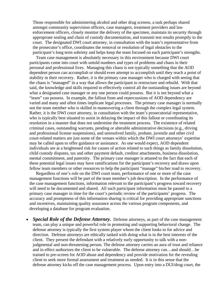Those responsible for administering alcohol and other drug screens, a task perhaps shared amongst community supervision officers, case managers, treatment providers and law enforcement officers, closely monitor the delivery of the specimen, maintain its security through appropriate sealing and chain of custody documentation, and transmit test results promptly to the court. The designated DWI court attorney, in consultation with the team's representative from the prosecutor's office, coordinates the removal or resolution of legal obstacles to the participant's long term sobriety and helps keep the team focused on each participant's strengths.

Team case management is absolutely necessary in this environment because DWI court participants come into court with untold numbers and types of problems and chaos in their personal and professional lives. Managing this chaos is not typically something that the AOD dependent person can accomplish or should even attempt to accomplish until they reach a point of stability in their recovery. Rather, it is the primary case manager who is charged with seeing that the chaos is "managed" in a way that allows the participant to restructure and rebuild. With that said, the knowledge and skills required to effectively control all the outstanding issues are beyond what a designated case manager or any one person could possess. But it is not beyond what a "team" can possess. In example, the fallout from and repercussions of AOD dependency are varied and many and often times implicate legal processes. The primary case manager is normally not the team member who is skilled in maneuvering a client through the complex legal system. Rather, it is the DWI court attorney, in consultation with the team's prosecutorial representative, who is typically best situated to assist in delaying the impact of this fallout or coordinating its resolution in a manner that does not undermine the treatment process. The existence of related criminal cases, outstanding warrants, pending or alterable administrative decisions (e.g., driving and professional license suspensions), and unresolved family, probate, juvenile and other civil court-related matters are just some of the venues within which the DWI court attorneys' expertise may be called upon to offer guidance or assistance. As one would expect, AOD dependent individuals are at a heightened risk for causes of action related to such things as family dissolution, child custody disputes, tax and other payment default, creditor attachments, business dissolution, mental commitment, and paternity. The primary case manager is attuned to the fact that each of these potential legal issues may have ramifications for the participant's recovery and draws upon fellow team members or other resources to help the participant "manage" his/her road to recovery.

Regardless of one's role on the DWI court team, performance of one or more of the case management functions will be part of the team member's job description. In the performance of the case management functions, information relevant to the participant's progress toward recovery will need to be documented and shared. All such participant information must be passed to a primary case manager in time for the court's periodic review of the participants' progress. The accuracy and promptness of this information sharing is critical for providing appropriate sanctions and incentives, maintaining quality assurance across the various program components, and developing a database for program evaluation.

• *Special Role of the Defense Attorney.* Defense attorneys, as part of the case management team, can play a unique and powerful role in promoting and supporting behavioral change. The defense attorney is typically the first system player whom the client looks to for advice and direction. Defense attorneys are ethically tasked with doing what is in the best interests of the client. They present the defendant with a relatively early opportunity to talk with a nonjudgmental and non-threatening person. The defense attorney carries an aura of trust and reliance and in effect authorizes the client to be vulnerable. The defense attorney can…and should…be trained to pre-screen for AOD abuse and dependency and provide motivation for the revealing client to seek more formal assessment and treatment as needed. It is in this sense that the defense attorney kicks off the case management process. Upon entry into a DUI/drug court, the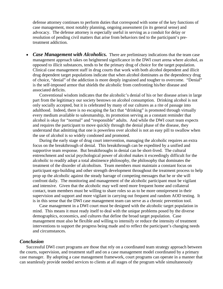defense attorney continues to perform duties that correspond with some of the key functions of case management, most notably planning, ongoing assessment (in its general sense) and advocacy. The defense attorney is especially useful in serving as a conduit for delay or resolution of pending civil matters that arise from behaviors tied to the participant's pretreatment addiction.

• *Case Management with Alcoholics*. There are preliminary indications that the team case management approach takes on heightened significance in the DWI court arena where alcohol, as opposed to illicit substances, tends to be the primary drug of choice for the target population. Clinical case management staff in drug courts that work with both alcohol dependent and illicit drug dependent target populations indicate that when alcohol dominates as the dependency drug of choice, "denial" of the addiction is more deeply ingrained and tougher to overcome. "Denial" is the self-imposed armor that shields the alcoholic from confronting his/her disease and associated deficits.

Conventional wisdom indicates that the alcoholic's denial of his or her disease arises in large part from the legitimacy our society bestows on alcohol consumption. Drinking alcohol is not only socially accepted, but it is celebrated by many of our cultures as a rite of passage into adulthood. Indeed, there is no escaping the fact that "drinking" is promoted through virtually every medium available to salesmanship, its promotion serving as a constant reminder that alcohol is okay for "normal" and "responsible" adults. And while the DWI court team expects and requires the participant to move quickly through the denial phase of the disease, they understand that admitting that one is powerless over alcohol is not an easy pill to swallow when the use of alcohol is so widely condoned and promoted.

During the early stage of drug court intervention, managing the alcoholic requires an extra focus on the breakthrough of denial. This breakthrough can be expedited by a unified and supportive team response. But breakthroughs in denial can be short-lived. The cultural entrenchment and social psychological power of alcohol makes it exceedingly difficult for the alcoholic to readily adopt a total abstinence philosophy, the philosophy that dominates the treatment of the disorder of alcoholism. Team members must maintain a constant focus on participant ego-building and other strength development throughout the treatment process to help prop up the alcoholic against the steady barrage of competing messages that he or she will confront daily. The monitoring and management of the alcoholic participant must be vigilant and intensive. Given that the alcoholic may well need more frequent home and collateral contact, team members must be willing to share roles so as to be more omnipresent in their supervision and support and more vigilant in carrying out frequent and random AOD testing. It is in this sense that the DWI case management team can serve as a chronic prevention tool.

Case management in a DWI court must be designed with the alcoholic target population in mind. This means it must ready itself to deal with the unique problems posed by the diverse demographics, economics, and cultures that define the broad target population. Case management must also be flexible and willing to intensify or reduce the intensity of treatment interventions to support the progress being made and to reflect the participant's changing needs and circumstances.

### *Conclusion*

 Successful DWI court programs are those that rely on a coordinated team strategy approach between the courts, supervision, and treatment staff and on a case management model coordinated by a primary case manager. By adopting a case management framework, court programs can operate in a manner that can seamlessly provide needed services to clients at all stages of the program while simultaneously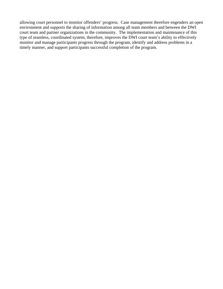allowing court personnel to monitor offenders' progress. Case management therefore engenders an open environment and supports the sharing of information among all team members and between the DWI court team and partner organizations in the community. The implementation and maintenance of this type of seamless, coordinated system, therefore, improves the DWI court team's ability to effectively monitor and manage participants progress through the program, identify and address problems in a timely manner, and support participants successful completion of the program.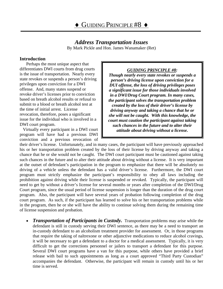*Address Transportation Issues* By Mark Pickle and Hon. James Wanamaker (Ret)

### <span id="page-33-0"></span>**Introduction**

Perhaps the most unique aspect that differentiates DWI courts from drug courts is the issue of transportation. Nearly every state revokes or suspends a person's driving privileges upon conviction for a DWI offense. And, many states suspend or revoke driver's licenses prior to conviction based on breath alcohol results or refusal to submit to a blood or breath alcohol test at the time of initial arrest. License revocation, therefore, poses a significant issue for the individual who is involved in a DWI court program.

Virtually every participant in a DWI court program will have had a previous DWI conviction and a previous revocation of

#### *GUIDING PRINCIPLE #8:*

*Though nearly every state revokes or suspends a person's driving license upon conviction for a DUI offense, the loss of driving privileges poses a significant issue for those individuals involved in a DWI/Drug Court program. In many cases, the participant solves the transportation problem created by the loss of their driver's license by driving anyway and taking a chance that he or she will not be caught. With this knowledge, the court must caution the participant against taking such chances in the future and to alter their attitude about driving without a license.* 

their driver's license. Unfortunately, and in many cases, the participant will have previously approached his or her transportation problem created by the loss of their license by driving anyway and taking a chance that he or she would not be caught. The DWI court participant must be cautioned against taking such chances in the future and to alter their attitude about driving without a license. It is very important at the outset of defendant's participation in the program to emphasize that there will be absolutely no driving of a vehicle unless the defendant has a valid driver's license. Furthermore, the DWI court program must strictly emphasize the participant's responsibility to obey all laws including the prohibition against driving while their license is suspended or revoked. Typically, the participant will need to get by without a driver's license for several months or years after completion of the DWI/Drug Court program, since the usual period of license suspension is longer than the duration of the drug court program. Also, the participant will have several years of probation following completion of the drug court program. As such, if the participant has learned to solve his or her transportation problems while in the program, then he or she will have the ability to continue solving them during the remaining time of license suspension and probation.

• *Transportation of Participants in Custody.* Transportation problems may arise while the defendant is still in custody serving their DWI sentence, as there may be a need to transport an in-custody defendant to an alcoholism treatment provider for assessment. Or, in those programs that require the taking of naltrexone or other adjunctive medications to reduce alcohol cravings, it will be necessary to get a defendant to a doctor for a medical assessment. Typically, it is very difficult to get the corrections personnel or jailers to transport a defendant for this purpose. Several DWI court programs have a van for this purpose, while others have provided a brief release with bail to such appointments as long as a court approved "Third Party Custodian" accompanies the defendant. Otherwise, the participant will remain in custody until his or her time is served.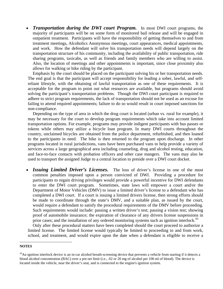*Transportation during the DWI court Program.* In most DWI court programs, the majority of participants will be on some form of monitored bail release and will be engaged in outpatient treatment. Participants will have the responsibility of getting themselves to and from treatment meetings, Alcoholics Anonymous meetings, court appearances, medical appointments, and work. How the defendant will solve his transportation needs will depend largely on the transportation structure of his community, including the availability of public transportation, ride sharing programs, taxicabs, as well as friends and family members who are willing to assist. Also, the location of meetings and other appointments is important, since close proximity also allows for walking or bike riding by the participant.

 Emphasis by the court should be placed on the participant solving his or her transportation needs. The end goal is that the participant will accept responsibility for leading a sober, lawful, and selfreliant lifestyle, with the obtaining of lawful transportation as one of these requirements. It is acceptable for the program to point out what resources are available, but programs should avoid solving the participant's transportation problems. Though the DWI court participant is required to adhere to strict program requirements, the lack of transportation should not be used as an excuse for failing to attend required appointments; failure to do so would result in court imposed sanctions for non-compliance.

 Depending on the type of area in which the drug court is located (urban vs. rural for example), it may be necessary for the court to develop program requirements which take into account limited transportation options. For example, programs may provide indigent participants with bus passes or tokens while others may utilize a bicycle loan program. In many DWI courts throughout the country, unclaimed bicycles are obtained from the police department, refurbished, and then loaned to the participants in need. The bike is then returned to the program upon discharge. In other programs located in rural jurisdictions, vans have been purchased vans to help provide a variety of services across a large geographical area including counseling, drug and alcohol testing, education, and face-to-face contacts with probation officers and other case mangers. The vans may also be used to transport the assigned Judge to a central location to preside over a DWI court docket.

• *Issuing Limited Driver's Licenses*. The loss of driver's license in one of the most common penalties imposed upon a person convicted of DWI. Providing a procedure for participants to regain driving privileges would provide a powerful incentive for DWI defendants to enter the DWI court program. Sometimes, state laws will empower a court and/or the Department of Motor Vehicles (DMV) to issue a limited driver's license to a defendant who has completed a DWI court. If a court is issuing a limited drivers license, then strong efforts should be made to coordinate through the state's DMV, and a suitable plan, as issued by the court, would require a defendant to satisfy the procedural requirements of the DMV before proceeding. Such requirements would include: passing a written driver's test; passing a vision test; showing proof of automobile insurance; the expiration of clearance of any drivers license suspensions in prior cases; and the installation of any ordered monitoring systems such as ignition interlock.<sup>[43](#page-34-0)</sup>

 Only after these procedural matters have been completed should the court proceed to authorize a limited license. The limited license would typically be limited to proceeding to and from work, school, and treatment, and would expire upon the date when a defendant is eligible to receive a

1

<span id="page-34-0"></span>**NOTES** 

 $43$ An ignition interlock device is an in-car alcohol breath-screening device that prevents a vehicle from starting if it detects a blood alcohol concentration (BAC) over a pre-set limit (i.e., .02 or 20 mg of alcohol per 100 ml of blood). The device is located inside the vehicle, near the driver's seat, and is connected to the engine's ignition system.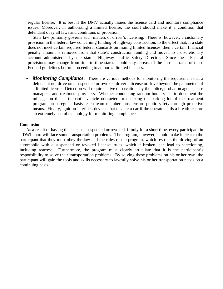regular license. It is best if the DMV actually issues the license card and monitors compliance issues. Moreover, in authorizing a limited license, the court should make it a condition that defendant obey all laws and conditions of probation.

 State law primarily governs such matters of driver's licensing. There is, however, a customary provision in the federal law concerning funding of highway construction, to the effect that, if a state does not meet certain required federal standards on issuing limited licenses, then a certain financial penalty amount is removed from that state's construction funding and moved to a discretionary account administered by the state's Highway Traffic Safety Director. Since these Federal provisions may change from time to time states should stay abreast of the current status of these Federal guidelines before proceeding to authorize limited licenses.

• *Monitoring Compliance.* There are various methods for monitoring the requirement that a defendant not drive on a suspended or revoked driver's license or drive beyond the parameters of a limited license. Detection will require active observations by the police, probation agents, case managers, and treatment providers. Whether conducting random home visits to document the mileage on the participant's vehicle odometer, or checking the parking lot of the treatment program on a regular basis, each team member must ensure public safety through proactive means. Finally, ignition interlock devices that disable a car if the operator fails a breath test are an extremely useful technology for monitoring compliance.

#### **Conclusion**

As a result of having their license suspended or revoked, if only for a short time, every participant in a DWI court will face some transportation problems. The program, however, should make it clear to the participant that they must obey the law and the rules of the program, which restricts the driving of an automobile with a suspended or revoked license; rules, which if broken, can lead to sanctioning, including rearrest. Furthermore, the program must clearly articulate that it is the participant's responsibility to solve their transportation problems. By solving these problems on his or her own, the participant will gain the tools and skills necessary to lawfully solve his or her transportation needs on a continuing basis.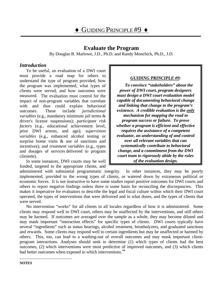# **Evaluate the Program**

By Douglas B. Marlowe, J.D., Ph.D. and Randy Monchick, Ph.D., J.D.

## <span id="page-36-0"></span>*Introduction*

To be useful, an evaluation of a DWI court must provide a road map for others to understand the type of program provided, how the program was implemented, what types of clients were served, and how outcomes were measured. The evaluation must control for the impact of non-program variables that correlate with and thus could explain behavioral outcomes. These include *jurisdictional variables* (e.g., mandatory minimum jail terms & driver's license suspensions); *participant risk factors* (e.g., educational achievement level, prior DWI arrests, and age); *supervision variables* (e.g., enhanced alcohol testing or surprise home visits & use of sanctions and incentives); and *treatment variables* (e.g., types and dosages of services delivered to program clientele).

In some instances, DWI courts may be well funded, targeted to the appropriate clients, and

## *GUIDING PRINCIPLE #9:*

*To convince "stakeholders" about the power of DWI court, program designers must design a DWI court evaluation model capable of documenting behavioral change and linking that change to the program's existence. A credible evaluation is the only mechanism for mapping the road to program success or failure. To prove whether a program is efficient and effective requires the assistance of a competent evaluator, an understanding of and control over all relevant variables that can systematically contribute to behavioral change, and a commitment from the DWI court team to rigorously abide by the rules of the evaluation design.*

administered with substantial programmatic integrity. In other instances, they may be poorly implemented, provided to the wrong types of clients, or watered down by extraneous political or economic forces. It is not instructive to have some studies report positive outcomes for DWI courts and others to report negative findings unless there is some basis for reconciling the discrepancies. This makes it imperative for evaluators to describe the legal and fiscal culture within which their DWI court operated, the types of interventions that were delivered and in what doses, and the types of clients that were served.

<span id="page-36-1"></span>No intervention "works" for all clients in all locales regardless of how it is administered. Some clients may respond well to DWI court, others may be unaffected by the interventions, and still others may be harmed. If outcomes are averaged over the sample as a whole, they may become diluted and may mask important "interaction effects" for specific types of clients. DWI courts typically have several "ingredients" such as status hearings, alcohol treatment, breathalyzers, and graduated sanctions and rewards. Some clients may respond well to certain ingredients but may be unaffected or harmed by others. This, too, can lead to a washing-out of overall outcomes and may mask important clientprogram interactions. Analyses should seek to determine (1) which types of clients had the best outcomes, (2) which interventions were most predictive of improved outcomes, and (3) which clients had better outcomes when exposed to which interventions.<sup>44</sup>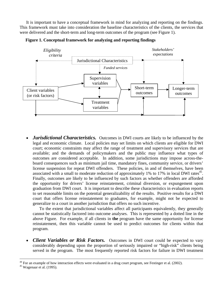It is important to have a conceptual framework in mind for analyzing and reporting on the findings. This framework must take into consideration the baseline characteristics of the clients, the services that were delivered and the short-term and long-term outcomes of the program (see Figure 1).





*Jurisdictional Characteristics.* Outcomes in DWI courts are likely to be influenced by the legal and economic climate. Local policies may set limits on which clients are eligible for DWI court; economic constraints may affect the range of treatment and supervisory services that are available; and the demands of policymakers and the public may influence what types of outcomes are considered acceptable. In addition, some jurisdictions may impose across-theboard consequences such as minimum jail time, mandatory fines, community service, or drivers' license suspension for repeat DWI offenders. These policies, in and of themselves, have been associated with a small to moderate reduction of approximately 1% to 17% in local DWI rates<sup>45</sup>. Finally, outcomes are likely to be influenced by such factors as whether offenders are afforded the opportunity for drivers' license reinstatement, criminal diversion, or expungement upon graduation from DWI court. It is important to describe these characteristics in evaluation reports to set reasonable limits on the potential generalizability of the results. Positive results for a DWI court that offers license reinstatement to graduates, for example, might not be expected to generalize to a court in another jurisdiction that offers no such incentive.

To the extent that jurisdictional variables affect all participants equivalently, they generally cannot be statistically factored into outcome analyses. This is represented by a dotted line in the above Figure. For example, if all clients in **the** program have the same opportunity for license reinstatement, then this variable cannot be used to predict outcomes for clients within that program.

• *Client Variables or Risk Factors.* Outcomes in DWI court could be expected to vary considerably depending upon the proportion of seriously impaired or "high-risk" clients being served in the program. The most frequently reported risk factors for failure in DWI treatment

<span id="page-37-0"></span>

 $^{44}$  For an example of how interaction effects were evaluated in a drug court program, see Festinger et al. (2002).  $^{45}$  Wagenaar et al. (1995).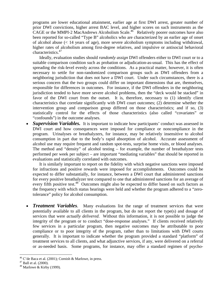programs are lower educational attainment, earlier age at first DWI arrest, greater number of prior DWI convictions, higher arrest BAC level, and higher scores on such instruments as the  $CAGE$  or the MMPI-2 MacAndrews Alcoholism Scale.<sup>46</sup> Relatively poorer outcomes have also been reported for so-called "Type B" alcoholics who are characterized by an earlier age of onset of alcohol abuse  $\ll 14$  years of age), more severe alcoholism symptoms including withdrawal, higher rates of alcoholism among first-degree relatives, and impulsive or antisocial behavioral characteristics.<sup>[47](#page-38-1)</sup>

Ideally, evaluation studies should *randomly assign* DWI offenders either to DWI court or to a suitable comparison condition such as probation or adjudication-as-usual. This has the effect of spreading the risk-level evenly across the conditions. As a practical matter, however, it is often necessary to settle for non-randomized comparison groups such as DWI offenders from a neighboring jurisdiction that does not have a DWI court. Under such circumstances, there is a serious concern that the two groups could differ on important dimensions that are, themselves, responsible for differences in outcomes. For instance, if the DWI offenders in the neighboring jurisdiction tended to have more severe alcohol problems, then the "deck would be stacked" in favor of the DWI court from the outset. It is, therefore, necessary to (1) identify client characteristics that correlate significantly with DWI court outcomes; (2) determine whether the intervention group and comparison group differed on those characteristics; and if so, (3) statistically control for the effects of those characteristics (also called "covariates" or "confounds") in the outcome analyses.

**Supervision Variables.** It is important to indicate how participants' conduct was assessed in DWI court and how consequences were imposed for compliance or noncompliance in the program. Urinalyses or breathalyzers, for instance, may be relatively insensitive to alcohol consumption in part due to the body's rapid absorption of alcohol. Accurate assessment of alcohol use may require frequent and random spot-tests, surprise home visits, or blood analyses. The method and "density" of alcohol testing – for example, the number of breathalyzer tests performed per week per subject – are important "mediating variables" that should be reported in evaluations and statistically correlated with outcomes.

It is similarly important to report on the fidelity with which negative sanctions were imposed for infractions and positive rewards were imposed for accomplishments. Outcomes could be expected to differ substantially, for instance, between a DWI court that administered sanctions for every positive breathalyzer test compared to one that administered sanctions for an average of every fifth positive test.<sup>48</sup> Outcomes might also be expected to differ based on such factors as the frequency with which status hearings were held and whether the program adhered to a "zerotolerance" policy for alcohol consumption.

• *Treatment Variables*. Many evaluations list the range of treatment services that were potentially available to all clients in the program, but do not report the type(s) and dosage of services that were *actually delivered*. Without this information, it is not possible to judge the integrity of the program or to conduct "dose-response analyses." If clients received relatively few services in a particular program, then negative outcomes may be attributable to poor compliance or to poor integrity of the program, rather than to limitations with DWI courts generally. It is important to indicate whether the program provided a standard "platform" of treatment services to all clients, and what adjunctive services, if any, were delivered on a referral or as-needed basis. Some programs, for instance, may offer a standard regimen of psycho-

<span id="page-38-0"></span><sup>&</sup>lt;sup>46</sup> C'de Baca et al. (2001); Cornish & Marlowe, in press. <sup>47</sup> Ball et al. (2000).

<span id="page-38-1"></span>

<span id="page-38-2"></span><sup>48</sup> Marlowe & Kirby (1999).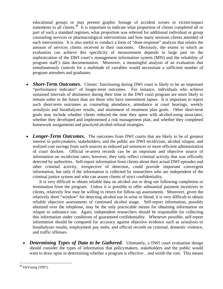educational groups or may present graphic footage of accident scenes or victim-impact statements to all clients.<sup>49</sup> It is important to indicate what proportion of clients completed all or part of such a standard regimen, what proportion was referred for additional individual or group counseling services or pharmacological interventions and how many sessions clients attended of each intervention. It is also useful to conduct a form of "dose-response" analysis that relates the amount of services clients received to their outcomes. Obviously, the extent to which an evaluation can achieve this specificity of measurement depends in large part on the sophistication of the DWI court's management information system (MIS) and the reliability of program staff's data documentation. Moreover, a meaningful analysis of an evaluation that simultaneously controls for a multitude of variables would necessitate a sufficient number of program attendees and graduates.

- *Short-Term Outcomes.* Clients' functioning during DWI court is likely to be an important "performance indicator" of longer-term outcomes. For instance, individuals who achieve sustained intervals of abstinence during their time in the DWI court program are more likely to remain sober in the future than are those who have intermittent lapses. It is important to report such short-term outcomes as counseling attendance, attendance at court hearings, weekly urinalysis and breathalyzer results, and attainment of treatment plan goals. Other short-term goals may include whether clients reduced the time they spent with alcohol-using associates, whether they developed and implemented a risk management plan, and whether they completed homework assignments and practiced alcohol-refusal strategies.
- *Longer-Term Outcomes*. The outcomes from DWI courts that are likely to be of greatest interest to policymakers, stakeholders, and the public are DWI recidivism, alcohol relapse, and realized cost savings from such sources as reduced jail sentences or more efficient administration of court dockets. Official re-arrest records can be an important and objective source of information on recidivism rates; however, they only reflect criminal activity that was officially detected by authorities. Self-report information from clients about their actual DWI episodes and other criminal activity, irrespective of detection, could provide important convergent information, but only if the information is collected by researchers who are independent of the criminal justice system and who can assure clients of strict confidentiality.

It is very difficult to obtain reliable data on alcohol use or drug use following completion or termination from the program. Unless it is possible to offer substantial payment incentives to clients, relatively few may be willing to return for follow-up assessments. Moreover, given the relatively short "window" for detecting alcohol use in urine or blood, it is very difficult to obtain reliable objective assessments of continued alcohol usage. Self-report information, possibly obtained over the telephone, may be the only practicable means for obtaining information on relapse to substance use. Again, independent researchers should be responsible for collecting this information under conditions of guaranteed confidentiality. Whenever possible, self-report information should be compared for accuracy against objective evidence such as urinalysis or breathalyzer results, employment pay stubs, and official records on criminal, domestic violence, and traffic offenses.

• *Determining Types of Data to be Gathered.* Ultimately, a DWI court evaluation design should consider the types of information that policymakers, stakeholders and the public would want to draw upon in determining whether a program is effective...and worth the cost. This means

<span id="page-39-0"></span><sup>&</sup>lt;u>.</u> 49 DeYoung (1997).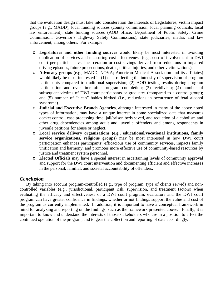that the evaluation design must take into consideration the interests of Legislatures, victim impact groups (e.g., MADD), local funding sources (county commission, local planning councils, local law enforcement), state funding sources (AOD office; Department of Public Safety; Crime Commission; Governor's Highway Safety Commissions), state judiciaries, media, and law enforcement, among others. For example:

- o **Legislatures and other funding sources** would likely be most interested in avoiding duplication of services and measuring cost effectiveness (e.g., cost of involvement in DWI court per participant vs. incarceration or cost savings derived from reductions in impaired driving episodes, future prosecutions, deaths, critical injuries, and other victimizations).
- o **Advocacy groups** (e.g., MADD; NOVA; American Medical Association and its affiliates) would likely be most interested in (1) data reflecting the intensity of supervision of program participants compared to traditional supervision; (2) AOD testing results during program participation and over time after program completion; (3) recidivism; (4) number of subsequent victims of DWI court participants or graduates (compared to a control group); and (5) number of "clean" babies birthed (i.e., reductions in occurrence of fetal alcohol syndrome).
- o **Judicial and Executive Branch Agencies**, although interested in many of the above noted types of information, may have a unique interest in some specialized data that measures docket control, case processing time, jail/prison beds saved, and reduction of alcoholism and other drug dependencies among adult and juvenile offenders and among respondents in juvenile petitions for abuse or neglect.
- o **Local service delivery organizations (e.g., educational/vocational institutions, family service organizations, religious groups)** may be most interested in how DWI court participation enhances participants' efficacious use of community services, impacts family unification and harmony, and promotes more effective use of community-based resources by justice and treatment system personnel.
- o **Elected Officials** may have a special interest in ascertaining levels of community approval and support for the DWI court intervention and documenting efficient and effective increases in the personal, familial, and societal accountability of offenders.

## *Conclusion*

 By taking into account program-controlled (e.g., type of program, type of clients served) and noncontrolled variables (e.g., jurisdictional, participant risk, supervision, and treatment factors) when evaluating the efficacy and effectiveness of a DWI court program, evaluators and the DWI court program can have greater confidence in findings, whether or not findings support the value and cost of the program as currently implemented. In addition, it is important to have a conceptual framework in mind for analyzing and reporting on the findings, such as the framework presented above. Finally, it is important to know and understand the interests of those stakeholders who are in a position to affect the continued operation of the program, and to gear the collection and reporting of data accordingly.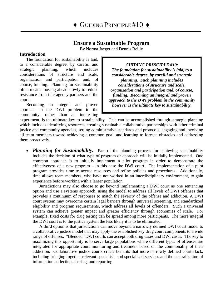## **Ensure a Sustainable Program**

By Norma Jaeger and Dennis Reilly

#### <span id="page-41-0"></span>**Introduction**

The foundation for sustainability is laid, to a considerable degree, by careful and strategic planning, which includes considerations of structure and scale, organization and participation and, of course, funding. Planning for sustainability often means moving ahead slowly to reduce resistance from interagency partners and the courts.

Becoming an integral and proven approach to the DWI problem in the community, rather than an interesting

#### *GUIDING PRINCIPLE #10:*

*The foundation for sustainability is laid, to a considerable degree, by careful and strategic planning. Such planning includes considerations of structure and scale, organization and participation and, of course, funding. Becoming an integral and proven approach to the DWI problem in the community however is the ultimate key to sustainability.* 

experiment, is the ultimate key to sustainability. This can be accomplished through strategic planning which includes identifying resources, creating sustainable collaborative partnerships with other criminal justice and community agencies, setting administrative standards and protocols, engaging and involving all team members toward achieving a common goal, and learning to foresee obstacles and addressing them proactively.

• *Planning for Sustainability*. Part of the planning process for achieving sustainability includes the decision of what type of program or approach will be initially implemented. One common approach is to initially implement a pilot program in order to demonstrate the effectiveness of a new program – in this case the DWI court. The implementation of a pilot program provides time to accrue resources and refine policies and procedures. Additionally, time allows team members, who have not worked in an interdisciplinary environment, to gain experience before working with a larger population.

Jurisdictions may also choose to go beyond implementing a DWI court as one sentencing option and use a systems approach, using the model to address all levels of DWI offenses that provides a continuum of responses to match the severity of the offense and addiction. A DWI court system may overcome certain legal barriers through universal screening, and standardized eligibility and program requirements, which address all levels of offenders. Such a universal system can achieve greater impact and greater efficiency through economies of scale. For example, fixed costs for drug testing can be spread among more participants. The more integral the DWI court is to the justice system the less likely it is to be eliminated.

A third option is that jurisdictions can move beyond a narrowly defined DWI court model to a collaborative justice model that may apply the established key drug court components to a wide range of offenses. "Blended" DWI courts can accept both drug cases and DWI cases. The key to maximizing this opportunity is to serve large populations where different types of offenses are integrated for appropriate court monitoring and treatment based on the commonality of their addiction. Collaborative justice courts create benefits that more narrowly defined courts lack, including bringing together relevant specialists and specialized services and the centralization of information collection, sharing, and reporting.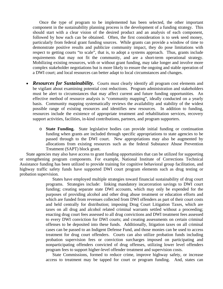Once the type of program to be implemented has been selected, the other important component in the sustainability planning process is the development of a funding strategy. This should start with a clear vision of the desired product and an analysis of each component, followed by how each can be obtained.Often, the first consideration is to seek seed money, particularly from federal grant funding sources. While grants can provide a window of time to demonstrate positive results and publicize community impact, they do pose limitations with respect to getting courts "to scale", that is, to adopt a systems approach. Thus, grants include requirements that may not fit the community, and are a short-term operational strategy. Mobilizing existing resources, with or without grant funding, may take longer and involve more complex stakeholder negotiations but is more likely to ensure the ongoing and stable operation of a DWI court; and local resources can better adapt to local circumstances and changes.

- *Resources for Sustainability.* Courts must clearly identify all program cost elements and be vigilant about examining potential cost reductions. Program administration and stakeholders must be alert to circumstances that may affect current and future funding opportunities. An effective method of resource analysis is "community mapping", ideally conducted on a yearly basis. Community mapping systematically reviews the availability and stability of the widest possible range of existing resources and identifies new resources. In addition to funding, resources include the existence of appropriate treatment and rehabilitation services, recovery support activities, facilities, in-kind contributions, partners, and program supporters.
	- o **State Funding.** State legislative bodies can provide initial funding or continuation funding when grants are included through specific appropriations to state agencies to be passed through to the DWI court. New appropriations may also be augmented by allocations from existing resources such as the federal Substance Abuse Prevention Treatment (SAPT) block grant.

State agencies may also have access to grant funding opportunities that can be utilized for supporting or strengthening program components. For example, National Institute of Corrections Technical Assistance funding has been utilized to provide training for cognitive behavioral group facilitation, and highway traffic safety funds have supported DWI court program elements such as drug testing or probation supervision.

> States have employed multiple strategies toward financial sustainability of drug court programs. Strategies include: linking mandatory incarceration savings to DWI court funding; creating separate state DWI accounts, which may only be expended for the purposes of providing alcohol and other drug abuse treatment or education efforts and which are funded from revenues collected from DWI offenders as part of their court costs and held centrally for distribution; imposing Drug Court Litigation Taxes, which are taxes on all drug and alcohol related criminal warrants settled without a proceeding; enacting drug court fees assessed to all drug convictions and DWI treatment fees assessed to every DWI conviction for DWI courts; and creating assessments on certain criminal offenses to be deposited into these funds. Additionally, litigation taxes on all criminal cases can be passed to an Indigent Defense Fund, and those monies can be used to access treatment for drug court offenders. Courts can also utilize probation funds including probation supervision fees or conviction surcharges imposed on participating and nonparticipating offenders convicted of drug offenses, utilizing lower level offenders program fees to support higher-level offender treatment and supervision costs.

> State Commissions, formed to reduce crime, improve highway safety, or increase access to treatment may be tapped for court or program funding. And, states can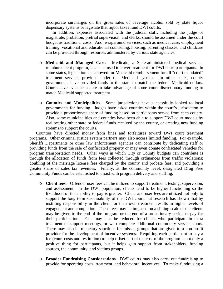incorporate surcharges on the gross sales of beverage alcohol sold by state liquor dispensary systems or legislate that liquor taxes fund DWI courts.

In addition, expenses associated with the judicial staff, including the judge or magistrate, probation, pretrial supervision, and clerks, should be assumed under the court budget as traditional costs. And, wraparound services, such as medical care, employment training, vocational and educational counseling, housing, parenting classes, and childcare can be provided through resources administered by various state agencies.

- o **Medicaid and Managed Care.** Medicaid, a State-administered medical services reimbursement program, has been used to cover treatment for DWI court participants. In some states, legislation has allowed for Medicaid reimbursement for all "court mandated" treatment services provided under the Medicaid system. In other states, county governments have provided funds to the state to match the federal Medicaid dollars. Courts have even been able to take advantage of some court discretionary funding to match Medicaid supported treatment.
- o **Counties and Municipalities.** Some jurisdictions have successfully looked to local governments for funding. Judges have asked counties within the court's jurisdiction to provide a proportionate share of funding based on participants served from each county. Also, some municipalities and counties have been able to support DWI court models by reallocating other state or federal funds received by the county, or creating new funding streams to support the courts.

Counties have directed money from fines and forfeitures toward DWI court treatment programs. Other criminal justice system partners may also access limited funding. For example, Sheriffs Departments or other law enforcement agencies can contribute by dedicating staff or providing funds from the sale of confiscated property or may even donate confiscated vehicles for program transportation needs. Other ways in which City or County budgets can contribute is through the allocation of funds from fees collected through ordinances from traffic violations; doubling of the marriage license fees charged by the county and probate fees; and providing a greater share of sales tax revenues. Finally, at the community level, designated Drug Free Community Funds can be established to assist with program delivery and staffing.

- o **Client fees.** Offender user fees can be utilized to support treatment, testing, supervision, and assessment. In the DWI population, clients tend to be higher functioning so the likelihood of their ability to pay is greater. Client and user fees are utilized not only to support the long term sustainability of the DWI court, but research has shown that by instilling responsibility in the client for their own treatment results in higher levels of engagement and completion. These fees may be imposed on a sliding scale or the clients may be given to the end of the program or the end of a probationary period to pay for their participation. Fees may also be reduced for clients who participate in extra treatment or support meetings, or who complete additional community service hours. There may also be monetary sanctions for missed groups that are given to a non-profit provider for the development of incentive systems. Requiring each participant to pay a fee (court costs and restitution) to help offset part of the cost of the program is not only a positive thing for participants, but it helps gain support from stakeholders, funding sources, the community, and victims groups.
- o **Broader Fundraising Considerations.** DWI courts may also carry out fundraising to provide for operating costs, treatment, and behavioral incentives. To make fundraising a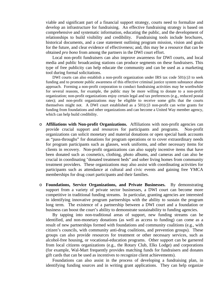viable and significant part of a financial support strategy, courts need to formalize and develop an infrastructure for fundraising. An effective fundraising strategy is based on comprehensive and systematic information, educating the public, and the development of relationships to build visibility and credibility. Fundraising tools include brochures, historical documents, and a case statement outlining program mission, vision and goals for the future, and clear evidence of effectiveness; and, this may be a resource that can be obtained *pro bono* from among the partners in the DWI court effort.

Local non-profit fundraisers can also improve awareness for DWI courts, and local media and public broadcasting stations can produce segments on these fundraisers. This type of free publicity can help educate the community and can be used as a marketing tool during formal solicitations.

DWI courts can also establish a non-profit organization under IRS tax code  $501(c)3$  to seek funding and to promote public awareness of this effective criminal justice system substance abuse approach. Forming a non-profit corporation to conduct fundraising activities may be worthwhile for several reasons, for example, the public may be more willing to donate to a non-profit organization; non-profit organizations enjoy certain legal and tax preferences (e.g., reduced postal rates); and non-profit organizations may be eligible to receive some gifts that the courts themselves might not. A DWI court established as a  $501(c)3$  non-profit can write grants for funding from foundations and other organizations and can become a United Way member agency, which can help build credibility.

- o **Affiliations with Non-profit Organizations.** Affiliations with non-profit agencies can provide crucial support and resources for participants and programs. Non-profit organizations can solicit monetary and material donations or open special bank accounts as "pass-throughs" for donations for program operations or to cover extraordinary needs for program participants such as glasses, work uniforms, and other necessary items for clients in recovery. Non-profit organizations can also supply incentive items that have been donated such as cosmetics, clothing, photo albums, and cameras and can also be crucial in coordinating "donated treatment beds" and sober living homes from community treatment providers. These organizations may also assist with coordinating activities for participants such as attendance at cultural and civic events and gaining free YMCA memberships for drug court participants and their families.
- o **Foundations, Service Organizations, and Private Businesses.** By demonstrating support from a variety of private sector businesses, a DWI court can become more competitive in traditional funding streams. In particular, granting agencies are interested in identifying innovative program partnerships with the ability to sustain the program long term. The existence of a partnership between a DWI court and a foundation or business can boost the court's ability to demonstrate sustainability to funding agencies.

By tapping into non-traditional areas of support, new funding streams can be identified, and non-monetary donations (as well as access to funding) can come as a result of new partnerships formed with foundations and community coalitions (e.g., with citizen's councils, with community anti-drug coalitions, and prevention groups). These groups can also provide resources for treatment or other necessary services, such as alcohol-free housing, or vocational-education programs. Other support can be garnered from local citizens organizations (e.g., the Rotary Club, Elks Lodge) and corporations (for example, Wal-Mart frequently provides matching funds for fundraisers and donates gift cards that can be used as incentives to recognize client achievements).

Foundations can also assist in the process of developing a fundraising plan, in identifying funding sources and in writing grant applications. They can help organize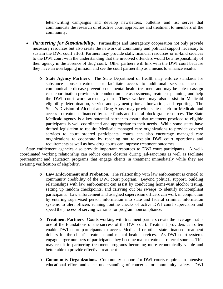letter-writing campaigns and develop newsletters, bulletins and list serves that communicate the research of effective court approaches and treatment to members of the community.

- *Partnering for Sustainability.* Partnerships and interagency cooperation not only provide necessary resources but also create the network of community and political support necessary to sustain the DWI court effort. Partners may provide staff, financial resources or in-kind services to the DWI court with the understanding that the involved offenders would be a responsibility of their agency in the absence of drug court. Other partners will link with the DWI court because they have an overlapping mission and see the court partnership as a means to enhance results.
	- o **State Agency Partners.** The State Department of Health may enforce standards for substance abuse treatment or facilitate access to additional services such as communicable disease prevention or mental health treatment and may be able to assign case coordination providers to conduct on-site assessments, treatment planning, and help the DWI court work across systems. These workers may also assist in Medicaid eligibility determination, service and payment prior authorization, and reporting. The State's Division of Alcohol and Drug Abuse may provide state match for Medicaid and access to treatment financed by state funds and federal block grant resources. The State Medicaid agency is a key potential partner to assure that treatment provided to eligible participants is well coordinated and appropriate to their needs. While some states have drafted legislation to require Medicaid managed care organizations to provide covered services to court ordered participants, courts can also encourage managed care organizations to cooperate by reaching out to explain DWI court operations and requirements as well as how drug courts can improve treatment outcomes.

State entitlement agencies also provide important resources to DWI court participants. A wellcoordinated working relationship can reduce cases closures during jail-sanctions as well as facilitate pretreatment and education programs that engage clients in treatment immediately while they are awaiting verification of eligibility.

- o **Law Enforcement and Probation.** The relationship with law enforcement is critical to community credibility of the DWI court program. Beyond political support, building relationships with law enforcement can assist by conducting home-visit alcohol testing, setting up random checkpoints, and carrying out bar sweeps to identify noncompliant participants. Law enforcement and assigned supervision officers can work in conjunction by entering supervised person information into state and federal criminal information systems to alert officers running routine checks of active DWI court supervision and speed the process of serving warrants for program noncompliance.
- o **Treatment Partners.** Courts working with treatment partners create the leverage that is one of the foundations of the success of the DWI court. Treatment providers can often enable DWI court participants to access Medicaid or other state financed treatment dollars for the client's treatment and mental health services. As DWI court systems engage larger numbers of participants they become major treatment referral sources. This may result in partnering treatment programs becoming more economically viable and better able to provide effective treatment
- o **Community Organizations.** Community support for DWI courts requires an intensive educational effort and clear understanding of concerns for community safety. DWI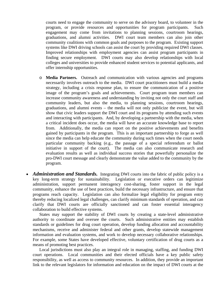courts need to engage the community to serve on the advisory board, to volunteer in the program, or provide resources and opportunities for program participants. Such engagement may come from invitations to planning sessions, courtroom hearings, graduations, and alumni activities. DWI court team members can also join other community coalitions with common goals and purposes to the program. Existing support systems like DWI driving schools can assist the court by providing required DWI classes. Improved relationships with employment agencies can assist program participants in finding secure employment. DWI courts may also develop relationships with local colleges and universities to provide enhanced student services to potential applicants, and offer internship opportunities.

- o **Media Partners.** Outreach and communication with various agencies and programs necessarily involves outreach to the media. DWI court practitioners must build a media strategy, including a crisis response plan, to ensure the communication of a positive image of the program's goals and achievements. Court program team members can increase community awareness and understanding by inviting not only the court staff and community leaders, but also the media, to planning sessions, courtroom hearings, graduations, and alumni events – the media will not only publicize the event, but will show that civic leaders support the DWI court and its programs by attending such events and interacting with participants. And, by developing a partnership with the media, when a critical incident does occur, the media will have an accurate knowledge base to report from. Additionally, the media can report on the positive achievements and benefits gained by participants in the program. This is an important partnership to forge as well since the media can help educate the community during such times when the court needs particular community backing (e.g., the passage of a special referendum or ballot initiative in support of the court). The media can also communicate research and evaluation results as well as individual success stories that powerfully personalize the pro-DWI court message and clearly demonstrate the value added to the community by the program.
- *Administration and Standards.* Integrating DWI courts into the fabric of public policy is a key long-term strategy for sustainability. Legislation or executive orders can legitimize administration, support permanent interagency cost-sharing, foster support in the legal community, enhance the use of best practices, build the necessary infrastructure, and ensure that programs reach capacity. Legislation can also formalize legal eligibility for program entry thereby reducing localized legal challenges, can clarify minimum standards of operation, and can clarify that DWI courts are officially sanctioned and can foster essential interagency collaboration to build effective systems.

States may support the stability of DWI courts by creating a state-level administrative authority to coordinate and oversee the courts. Such administrative entities may establish standards or guidelines for drug court operation, develop funding allocation and accountability mechanisms, receive and administer federal and other grants, develop statewide management information and evaluation systems, and work to develop necessary collaborative relationships. For example, some States have developed effective, voluntary certification of drug courts as a means of promoting best practices.

Local jurisdictions must also play an integral role in managing, staffing, and funding DWI court operations. Local communities and their elected officials have a key public safety responsibility, as well as access to community resources. In addition, they provide an important link to the relevant legislators for information and education on the impact of DWI courts at the